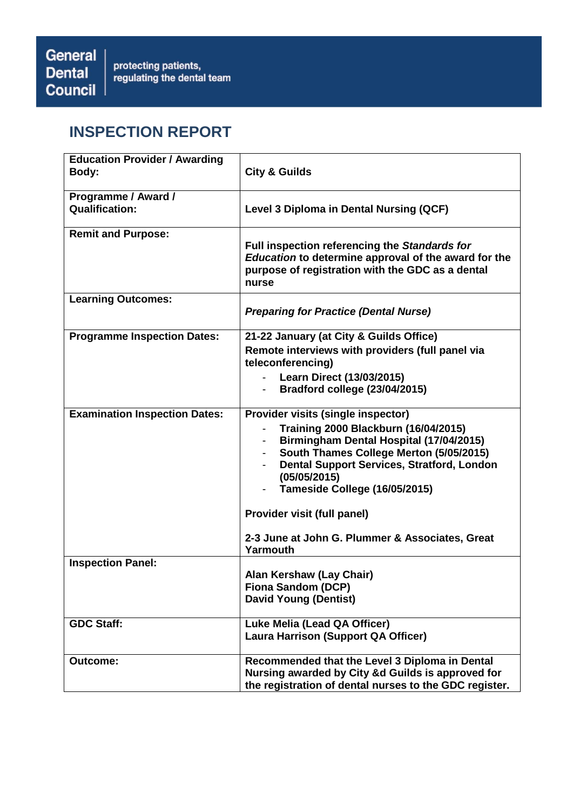# **INSPECTION REPORT**

| <b>Education Provider / Awarding</b><br>Body: | <b>City &amp; Guilds</b>                                                                                                                                                                                                                                               |
|-----------------------------------------------|------------------------------------------------------------------------------------------------------------------------------------------------------------------------------------------------------------------------------------------------------------------------|
| Programme / Award /<br><b>Qualification:</b>  | Level 3 Diploma in Dental Nursing (QCF)                                                                                                                                                                                                                                |
| <b>Remit and Purpose:</b>                     | Full inspection referencing the Standards for<br>Education to determine approval of the award for the<br>purpose of registration with the GDC as a dental<br>nurse                                                                                                     |
| <b>Learning Outcomes:</b>                     | <b>Preparing for Practice (Dental Nurse)</b>                                                                                                                                                                                                                           |
| <b>Programme Inspection Dates:</b>            | 21-22 January (at City & Guilds Office)<br>Remote interviews with providers (full panel via<br>teleconferencing)<br>- Learn Direct (13/03/2015)<br>Bradford college (23/04/2015)                                                                                       |
| <b>Examination Inspection Dates:</b>          | Provider visits (single inspector)<br><b>Training 2000 Blackburn (16/04/2015)</b><br>Birmingham Dental Hospital (17/04/2015)<br>South Thames College Merton (5/05/2015)<br>Dental Support Services, Stratford, London<br>(05/05/2015)<br>Tameside College (16/05/2015) |
|                                               | Provider visit (full panel)<br>2-3 June at John G. Plummer & Associates, Great<br>Yarmouth                                                                                                                                                                             |
| <b>Inspection Panel:</b>                      | Alan Kershaw (Lay Chair)<br>Fiona Sandom (DCP)<br><b>David Young (Dentist)</b>                                                                                                                                                                                         |
| <b>GDC Staff:</b>                             | Luke Melia (Lead QA Officer)<br><b>Laura Harrison (Support QA Officer)</b>                                                                                                                                                                                             |
| <b>Outcome:</b>                               | Recommended that the Level 3 Diploma in Dental<br>Nursing awarded by City &d Guilds is approved for<br>the registration of dental nurses to the GDC register.                                                                                                          |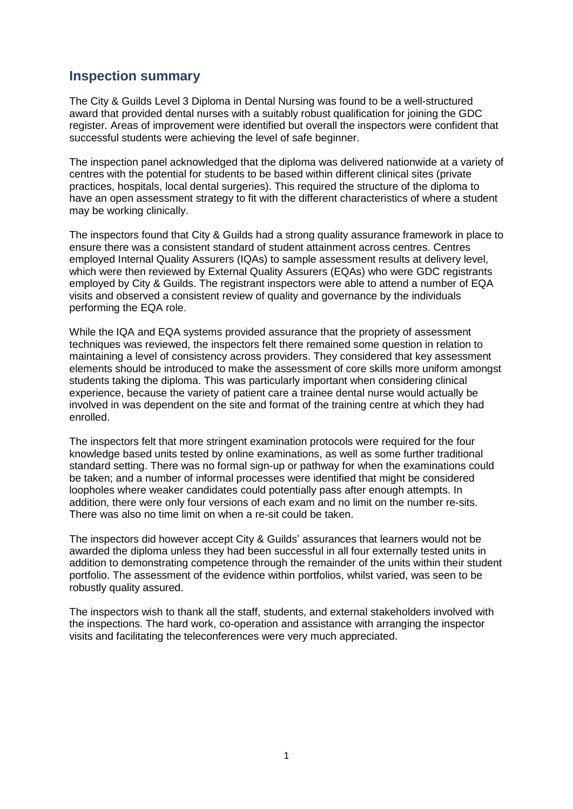# **Inspection summary**

The City & Guilds Level 3 Diploma in Dental Nursing was found to be a well-structured award that provided dental nurses with a suitably robust qualification for joining the GDC register. Areas of improvement were identified but overall the inspectors were confident that successful students were achieving the level of safe beginner.

The inspection panel acknowledged that the diploma was delivered nationwide at a variety of centres with the potential for students to be based within different clinical sites (private practices, hospitals, local dental surgeries). This required the structure of the diploma to have an open assessment strategy to fit with the different characteristics of where a student may be working clinically.

The inspectors found that City & Guilds had a strong quality assurance framework in place to ensure there was a consistent standard of student attainment across centres. Centres employed Internal Quality Assurers (IQAs) to sample assessment results at delivery level, which were then reviewed by External Quality Assurers (EQAs) who were GDC registrants employed by City & Guilds. The registrant inspectors were able to attend a number of EQA visits and observed a consistent review of quality and governance by the individuals performing the EQA role.

While the IQA and EQA systems provided assurance that the propriety of assessment techniques was reviewed, the inspectors felt there remained some question in relation to maintaining a level of consistency across providers. They considered that key assessment elements should be introduced to make the assessment of core skills more uniform amongst students taking the diploma. This was particularly important when considering clinical experience, because the variety of patient care a trainee dental nurse would actually be involved in was dependent on the site and format of the training centre at which they had enrolled.

The inspectors felt that more stringent examination protocols were required for the four knowledge based units tested by online examinations, as well as some further traditional standard setting. There was no formal sign-up or pathway for when the examinations could be taken; and a number of informal processes were identified that might be considered loopholes where weaker candidates could potentially pass after enough attempts. In addition, there were only four versions of each exam and no limit on the number re-sits. There was also no time limit on when a re-sit could be taken.

The inspectors did however accept City & Guilds' assurances that learners would not be awarded the diploma unless they had been successful in all four externally tested units in addition to demonstrating competence through the remainder of the units within their student portfolio. The assessment of the evidence within portfolios, whilst varied, was seen to be robustly quality assured.

The inspectors wish to thank all the staff, students, and external stakeholders involved with the inspections. The hard work, co-operation and assistance with arranging the inspector visits and facilitating the teleconferences were very much appreciated.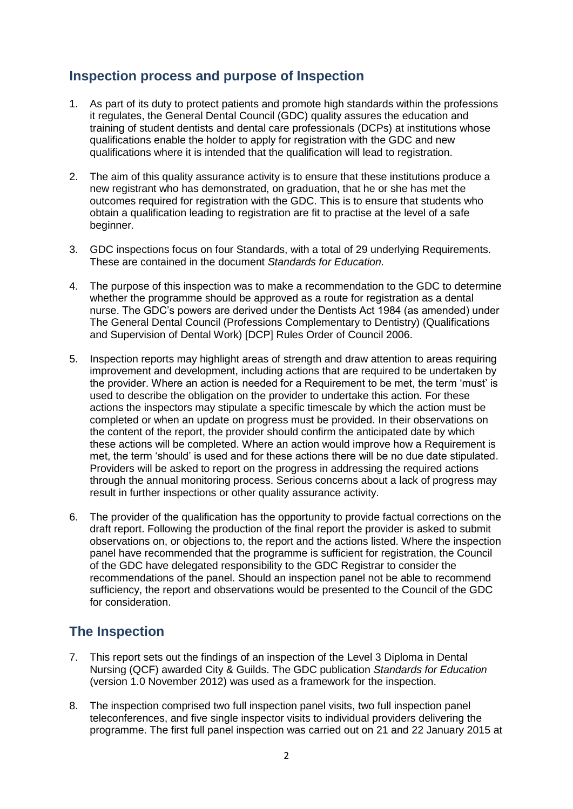# **Inspection process and purpose of Inspection**

- 1. As part of its duty to protect patients and promote high standards within the professions it regulates, the General Dental Council (GDC) quality assures the education and training of student dentists and dental care professionals (DCPs) at institutions whose qualifications enable the holder to apply for registration with the GDC and new qualifications where it is intended that the qualification will lead to registration.
- 2. The aim of this quality assurance activity is to ensure that these institutions produce a new registrant who has demonstrated, on graduation, that he or she has met the outcomes required for registration with the GDC. This is to ensure that students who obtain a qualification leading to registration are fit to practise at the level of a safe beginner.
- 3. GDC inspections focus on four Standards, with a total of 29 underlying Requirements. These are contained in the document *Standards for Education.*
- 4. The purpose of this inspection was to make a recommendation to the GDC to determine whether the programme should be approved as a route for registration as a dental nurse. The GDC's powers are derived under the Dentists Act 1984 (as amended) under The General Dental Council (Professions Complementary to Dentistry) (Qualifications and Supervision of Dental Work) [DCP] Rules Order of Council 2006.
- 5. Inspection reports may highlight areas of strength and draw attention to areas requiring improvement and development, including actions that are required to be undertaken by the provider. Where an action is needed for a Requirement to be met, the term 'must' is used to describe the obligation on the provider to undertake this action. For these actions the inspectors may stipulate a specific timescale by which the action must be completed or when an update on progress must be provided. In their observations on the content of the report, the provider should confirm the anticipated date by which these actions will be completed. Where an action would improve how a Requirement is met, the term 'should' is used and for these actions there will be no due date stipulated. Providers will be asked to report on the progress in addressing the required actions through the annual monitoring process. Serious concerns about a lack of progress may result in further inspections or other quality assurance activity.
- 6. The provider of the qualification has the opportunity to provide factual corrections on the draft report. Following the production of the final report the provider is asked to submit observations on, or objections to, the report and the actions listed. Where the inspection panel have recommended that the programme is sufficient for registration, the Council of the GDC have delegated responsibility to the GDC Registrar to consider the recommendations of the panel. Should an inspection panel not be able to recommend sufficiency, the report and observations would be presented to the Council of the GDC for consideration.

# **The Inspection**

- 7. This report sets out the findings of an inspection of the Level 3 Diploma in Dental Nursing (QCF) awarded City & Guilds. The GDC publication *Standards for Education* (version 1.0 November 2012) was used as a framework for the inspection.
- 8. The inspection comprised two full inspection panel visits, two full inspection panel teleconferences, and five single inspector visits to individual providers delivering the programme. The first full panel inspection was carried out on 21 and 22 January 2015 at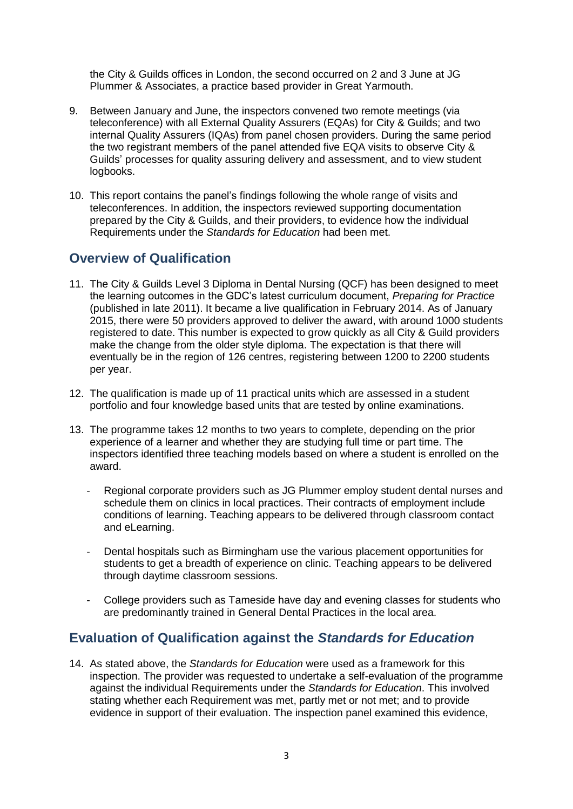the City & Guilds offices in London, the second occurred on 2 and 3 June at JG Plummer & Associates, a practice based provider in Great Yarmouth.

- 9. Between January and June, the inspectors convened two remote meetings (via teleconference) with all External Quality Assurers (EQAs) for City & Guilds; and two internal Quality Assurers (IQAs) from panel chosen providers. During the same period the two registrant members of the panel attended five EQA visits to observe City & Guilds' processes for quality assuring delivery and assessment, and to view student logbooks.
- 10. This report contains the panel's findings following the whole range of visits and teleconferences. In addition, the inspectors reviewed supporting documentation prepared by the City & Guilds, and their providers, to evidence how the individual Requirements under the *Standards for Education* had been met.

# **Overview of Qualification**

- 11. The City & Guilds Level 3 Diploma in Dental Nursing (QCF) has been designed to meet the learning outcomes in the GDC's latest curriculum document, *Preparing for Practice* (published in late 2011). It became a live qualification in February 2014. As of January 2015, there were 50 providers approved to deliver the award, with around 1000 students registered to date. This number is expected to grow quickly as all City & Guild providers make the change from the older style diploma. The expectation is that there will eventually be in the region of 126 centres, registering between 1200 to 2200 students per year.
- 12. The qualification is made up of 11 practical units which are assessed in a student portfolio and four knowledge based units that are tested by online examinations.
- 13. The programme takes 12 months to two years to complete, depending on the prior experience of a learner and whether they are studying full time or part time. The inspectors identified three teaching models based on where a student is enrolled on the award.
	- Regional corporate providers such as JG Plummer employ student dental nurses and schedule them on clinics in local practices. Their contracts of employment include conditions of learning. Teaching appears to be delivered through classroom contact and eLearning.
	- Dental hospitals such as Birmingham use the various placement opportunities for students to get a breadth of experience on clinic. Teaching appears to be delivered through daytime classroom sessions.
	- College providers such as Tameside have day and evening classes for students who are predominantly trained in General Dental Practices in the local area.

# **Evaluation of Qualification against the** *Standards for Education*

14. As stated above, the *Standards for Education* were used as a framework for this inspection. The provider was requested to undertake a self-evaluation of the programme against the individual Requirements under the *Standards for Education*. This involved stating whether each Requirement was met, partly met or not met; and to provide evidence in support of their evaluation. The inspection panel examined this evidence,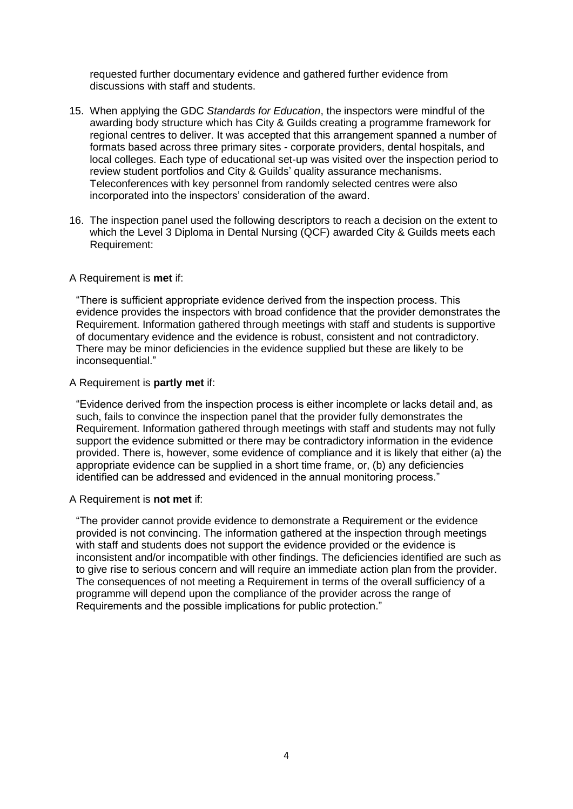requested further documentary evidence and gathered further evidence from discussions with staff and students.

- 15. When applying the GDC *Standards for Education*, the inspectors were mindful of the awarding body structure which has City & Guilds creating a programme framework for regional centres to deliver. It was accepted that this arrangement spanned a number of formats based across three primary sites - corporate providers, dental hospitals, and local colleges. Each type of educational set-up was visited over the inspection period to review student portfolios and City & Guilds' quality assurance mechanisms. Teleconferences with key personnel from randomly selected centres were also incorporated into the inspectors' consideration of the award.
- 16. The inspection panel used the following descriptors to reach a decision on the extent to which the Level 3 Diploma in Dental Nursing (QCF) awarded City & Guilds meets each Requirement:

#### A Requirement is **met** if:

"There is sufficient appropriate evidence derived from the inspection process. This evidence provides the inspectors with broad confidence that the provider demonstrates the Requirement. Information gathered through meetings with staff and students is supportive of documentary evidence and the evidence is robust, consistent and not contradictory. There may be minor deficiencies in the evidence supplied but these are likely to be inconsequential."

#### A Requirement is **partly met** if:

"Evidence derived from the inspection process is either incomplete or lacks detail and, as such, fails to convince the inspection panel that the provider fully demonstrates the Requirement. Information gathered through meetings with staff and students may not fully support the evidence submitted or there may be contradictory information in the evidence provided. There is, however, some evidence of compliance and it is likely that either (a) the appropriate evidence can be supplied in a short time frame, or, (b) any deficiencies identified can be addressed and evidenced in the annual monitoring process."

#### A Requirement is **not met** if:

"The provider cannot provide evidence to demonstrate a Requirement or the evidence provided is not convincing. The information gathered at the inspection through meetings with staff and students does not support the evidence provided or the evidence is inconsistent and/or incompatible with other findings. The deficiencies identified are such as to give rise to serious concern and will require an immediate action plan from the provider. The consequences of not meeting a Requirement in terms of the overall sufficiency of a programme will depend upon the compliance of the provider across the range of Requirements and the possible implications for public protection."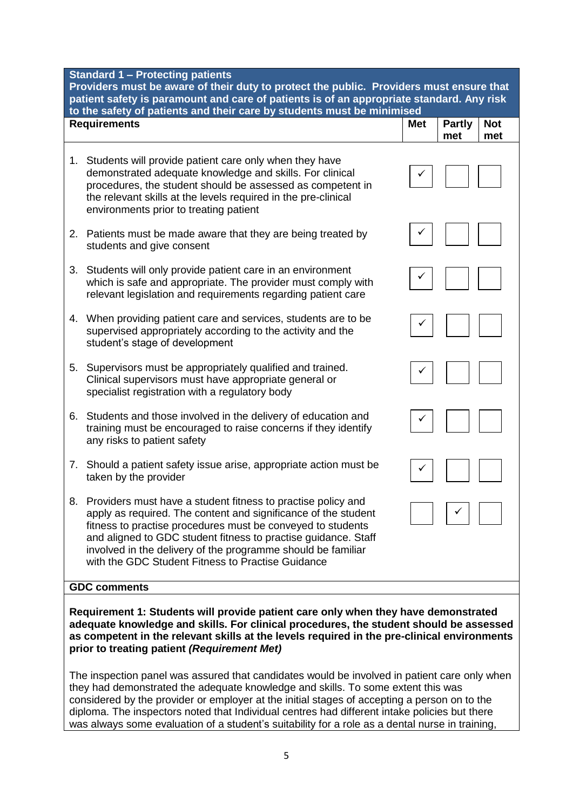| <b>Standard 1 - Protecting patients</b><br>Providers must be aware of their duty to protect the public. Providers must ensure that<br>patient safety is paramount and care of patients is of an appropriate standard. Any risk                                                                                                                                                                                        |                                           |  |  |  |
|-----------------------------------------------------------------------------------------------------------------------------------------------------------------------------------------------------------------------------------------------------------------------------------------------------------------------------------------------------------------------------------------------------------------------|-------------------------------------------|--|--|--|
| to the safety of patients and their care by students must be minimised<br><b>Requirements</b>                                                                                                                                                                                                                                                                                                                         | <b>Partly</b><br><b>Not</b><br><b>Met</b> |  |  |  |
|                                                                                                                                                                                                                                                                                                                                                                                                                       | met<br>met                                |  |  |  |
| Students will provide patient care only when they have<br>1.<br>demonstrated adequate knowledge and skills. For clinical<br>procedures, the student should be assessed as competent in<br>the relevant skills at the levels required in the pre-clinical<br>environments prior to treating patient                                                                                                                    |                                           |  |  |  |
| 2. Patients must be made aware that they are being treated by<br>students and give consent                                                                                                                                                                                                                                                                                                                            |                                           |  |  |  |
| Students will only provide patient care in an environment<br>3.<br>which is safe and appropriate. The provider must comply with<br>relevant legislation and requirements regarding patient care                                                                                                                                                                                                                       |                                           |  |  |  |
| When providing patient care and services, students are to be<br>4.<br>supervised appropriately according to the activity and the<br>student's stage of development                                                                                                                                                                                                                                                    |                                           |  |  |  |
| Supervisors must be appropriately qualified and trained.<br>5.<br>Clinical supervisors must have appropriate general or<br>specialist registration with a regulatory body                                                                                                                                                                                                                                             |                                           |  |  |  |
| Students and those involved in the delivery of education and<br>6.<br>training must be encouraged to raise concerns if they identify<br>any risks to patient safety                                                                                                                                                                                                                                                   |                                           |  |  |  |
| 7. Should a patient safety issue arise, appropriate action must be<br>taken by the provider                                                                                                                                                                                                                                                                                                                           |                                           |  |  |  |
| Providers must have a student fitness to practise policy and<br>8.<br>apply as required. The content and significance of the student<br>fitness to practise procedures must be conveyed to students<br>and aligned to GDC student fitness to practise guidance. Staff<br>involved in the delivery of the programme should be familiar<br>with the GDC Student Fitness to Practise Guidance                            |                                           |  |  |  |
| <b>GDC comments</b>                                                                                                                                                                                                                                                                                                                                                                                                   |                                           |  |  |  |
| Requirement 1: Students will provide patient care only when they have demonstrated<br>adequate knowledge and skills. For clinical procedures, the student should be assessed<br>as competent in the relevant skills at the levels required in the pre-clinical environments<br>prior to treating patient (Requirement Met)<br>repeation panel was assured that condidates would be involved in patient care only when |                                           |  |  |  |

The inspection panel was assured that candidates would be involved in patient care only when they had demonstrated the adequate knowledge and skills. To some extent this was considered by the provider or employer at the initial stages of accepting a person on to the diploma. The inspectors noted that Individual centres had different intake policies but there was always some evaluation of a student's suitability for a role as a dental nurse in training,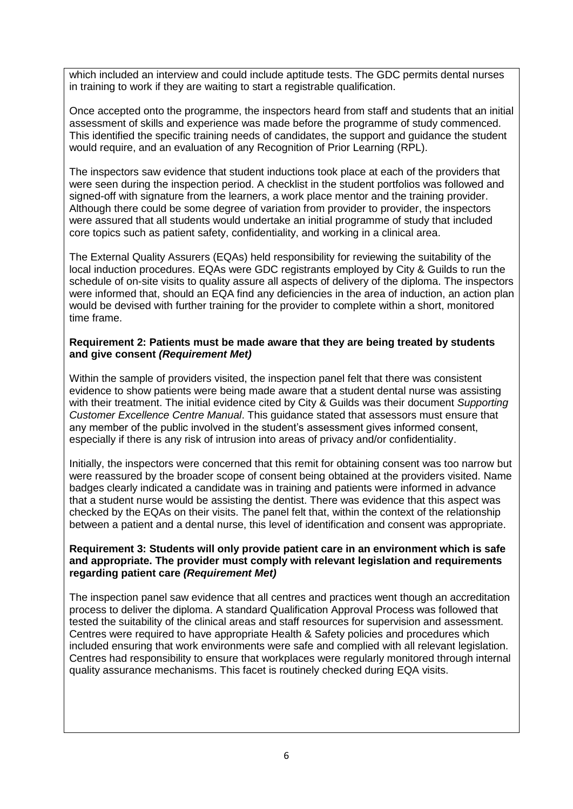which included an interview and could include aptitude tests. The GDC permits dental nurses in training to work if they are waiting to start a registrable qualification.

Once accepted onto the programme, the inspectors heard from staff and students that an initial assessment of skills and experience was made before the programme of study commenced. This identified the specific training needs of candidates, the support and guidance the student would require, and an evaluation of any Recognition of Prior Learning (RPL).

The inspectors saw evidence that student inductions took place at each of the providers that were seen during the inspection period. A checklist in the student portfolios was followed and signed-off with signature from the learners, a work place mentor and the training provider. Although there could be some degree of variation from provider to provider, the inspectors were assured that all students would undertake an initial programme of study that included core topics such as patient safety, confidentiality, and working in a clinical area.

The External Quality Assurers (EQAs) held responsibility for reviewing the suitability of the local induction procedures. EQAs were GDC registrants employed by City & Guilds to run the schedule of on-site visits to quality assure all aspects of delivery of the diploma. The inspectors were informed that, should an EQA find any deficiencies in the area of induction, an action plan would be devised with further training for the provider to complete within a short, monitored time frame.

#### **Requirement 2: Patients must be made aware that they are being treated by students and give consent** *(Requirement Met)*

Within the sample of providers visited, the inspection panel felt that there was consistent evidence to show patients were being made aware that a student dental nurse was assisting with their treatment. The initial evidence cited by City & Guilds was their document *Supporting Customer Excellence Centre Manual*. This guidance stated that assessors must ensure that any member of the public involved in the student's assessment gives informed consent, especially if there is any risk of intrusion into areas of privacy and/or confidentiality.

Initially, the inspectors were concerned that this remit for obtaining consent was too narrow but were reassured by the broader scope of consent being obtained at the providers visited. Name badges clearly indicated a candidate was in training and patients were informed in advance that a student nurse would be assisting the dentist. There was evidence that this aspect was checked by the EQAs on their visits. The panel felt that, within the context of the relationship between a patient and a dental nurse, this level of identification and consent was appropriate.

#### **Requirement 3: Students will only provide patient care in an environment which is safe and appropriate. The provider must comply with relevant legislation and requirements regarding patient care** *(Requirement Met)*

The inspection panel saw evidence that all centres and practices went though an accreditation process to deliver the diploma. A standard Qualification Approval Process was followed that tested the suitability of the clinical areas and staff resources for supervision and assessment. Centres were required to have appropriate Health & Safety policies and procedures which included ensuring that work environments were safe and complied with all relevant legislation. Centres had responsibility to ensure that workplaces were regularly monitored through internal quality assurance mechanisms. This facet is routinely checked during EQA visits.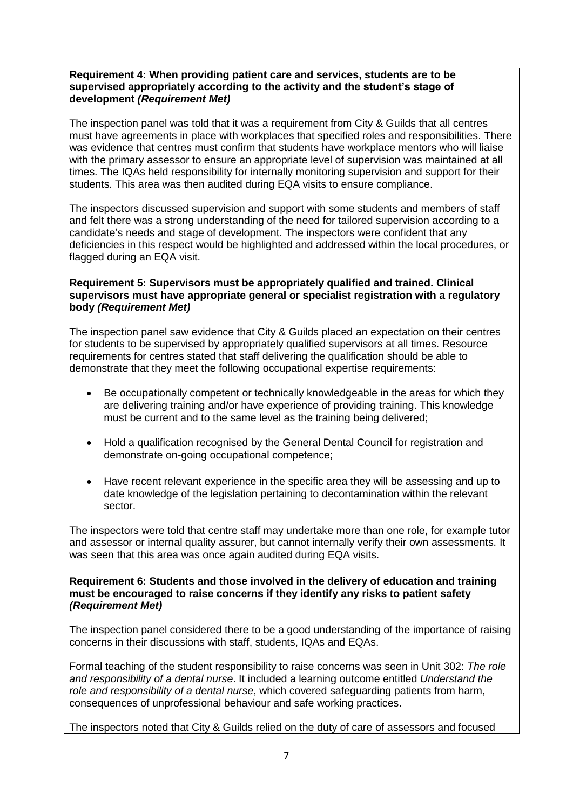#### **Requirement 4: When providing patient care and services, students are to be supervised appropriately according to the activity and the student's stage of development** *(Requirement Met)*

The inspection panel was told that it was a requirement from City & Guilds that all centres must have agreements in place with workplaces that specified roles and responsibilities. There was evidence that centres must confirm that students have workplace mentors who will liaise with the primary assessor to ensure an appropriate level of supervision was maintained at all times. The IQAs held responsibility for internally monitoring supervision and support for their students. This area was then audited during EQA visits to ensure compliance.

The inspectors discussed supervision and support with some students and members of staff and felt there was a strong understanding of the need for tailored supervision according to a candidate's needs and stage of development. The inspectors were confident that any deficiencies in this respect would be highlighted and addressed within the local procedures, or flagged during an EQA visit.

### **Requirement 5: Supervisors must be appropriately qualified and trained. Clinical supervisors must have appropriate general or specialist registration with a regulatory body** *(Requirement Met)*

The inspection panel saw evidence that City & Guilds placed an expectation on their centres for students to be supervised by appropriately qualified supervisors at all times. Resource requirements for centres stated that staff delivering the qualification should be able to demonstrate that they meet the following occupational expertise requirements:

- Be occupationally competent or technically knowledgeable in the areas for which they are delivering training and/or have experience of providing training. This knowledge must be current and to the same level as the training being delivered;
- Hold a qualification recognised by the General Dental Council for registration and demonstrate on-going occupational competence;
- Have recent relevant experience in the specific area they will be assessing and up to date knowledge of the legislation pertaining to decontamination within the relevant sector.

The inspectors were told that centre staff may undertake more than one role, for example tutor and assessor or internal quality assurer, but cannot internally verify their own assessments. It was seen that this area was once again audited during EQA visits.

#### **Requirement 6: Students and those involved in the delivery of education and training must be encouraged to raise concerns if they identify any risks to patient safety** *(Requirement Met)*

The inspection panel considered there to be a good understanding of the importance of raising concerns in their discussions with staff, students, IQAs and EQAs.

Formal teaching of the student responsibility to raise concerns was seen in Unit 302: *The role and responsibility of a dental nurse*. It included a learning outcome entitled *Understand the role and responsibility of a dental nurse*, which covered safeguarding patients from harm, consequences of unprofessional behaviour and safe working practices.

The inspectors noted that City & Guilds relied on the duty of care of assessors and focused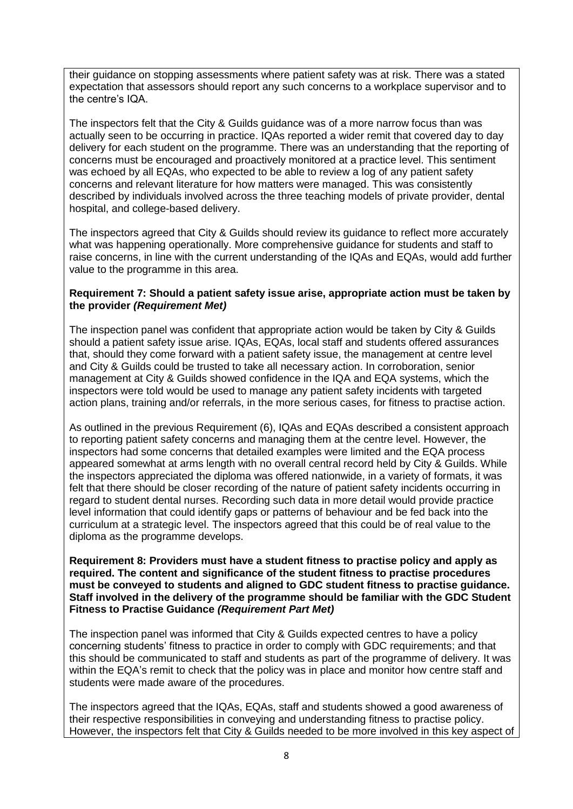their guidance on stopping assessments where patient safety was at risk. There was a stated expectation that assessors should report any such concerns to a workplace supervisor and to the centre's IQA.

The inspectors felt that the City & Guilds guidance was of a more narrow focus than was actually seen to be occurring in practice. IQAs reported a wider remit that covered day to day delivery for each student on the programme. There was an understanding that the reporting of concerns must be encouraged and proactively monitored at a practice level. This sentiment was echoed by all EQAs, who expected to be able to review a log of any patient safety concerns and relevant literature for how matters were managed. This was consistently described by individuals involved across the three teaching models of private provider, dental hospital, and college-based delivery.

The inspectors agreed that City & Guilds should review its guidance to reflect more accurately what was happening operationally. More comprehensive guidance for students and staff to raise concerns, in line with the current understanding of the IQAs and EQAs, would add further value to the programme in this area.

### **Requirement 7: Should a patient safety issue arise, appropriate action must be taken by the provider** *(Requirement Met)*

The inspection panel was confident that appropriate action would be taken by City & Guilds should a patient safety issue arise. IQAs, EQAs, local staff and students offered assurances that, should they come forward with a patient safety issue, the management at centre level and City & Guilds could be trusted to take all necessary action. In corroboration, senior management at City & Guilds showed confidence in the IQA and EQA systems, which the inspectors were told would be used to manage any patient safety incidents with targeted action plans, training and/or referrals, in the more serious cases, for fitness to practise action.

As outlined in the previous Requirement (6), IQAs and EQAs described a consistent approach to reporting patient safety concerns and managing them at the centre level. However, the inspectors had some concerns that detailed examples were limited and the EQA process appeared somewhat at arms length with no overall central record held by City & Guilds. While the inspectors appreciated the diploma was offered nationwide, in a variety of formats, it was felt that there should be closer recording of the nature of patient safety incidents occurring in regard to student dental nurses. Recording such data in more detail would provide practice level information that could identify gaps or patterns of behaviour and be fed back into the curriculum at a strategic level. The inspectors agreed that this could be of real value to the diploma as the programme develops.

**Requirement 8: Providers must have a student fitness to practise policy and apply as required. The content and significance of the student fitness to practise procedures must be conveyed to students and aligned to GDC student fitness to practise guidance. Staff involved in the delivery of the programme should be familiar with the GDC Student Fitness to Practise Guidance** *(Requirement Part Met)*

The inspection panel was informed that City & Guilds expected centres to have a policy concerning students' fitness to practice in order to comply with GDC requirements; and that this should be communicated to staff and students as part of the programme of delivery. It was within the EQA's remit to check that the policy was in place and monitor how centre staff and students were made aware of the procedures.

The inspectors agreed that the IQAs, EQAs, staff and students showed a good awareness of their respective responsibilities in conveying and understanding fitness to practise policy. However, the inspectors felt that City & Guilds needed to be more involved in this key aspect of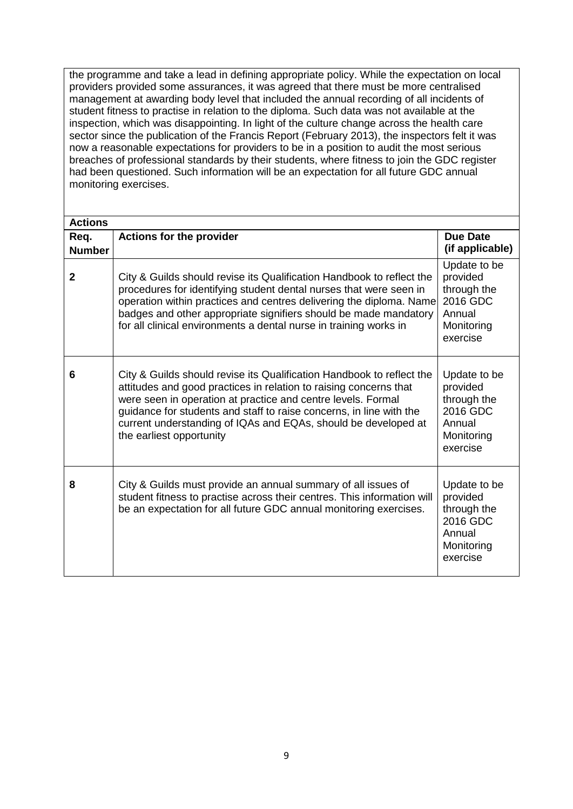the programme and take a lead in defining appropriate policy. While the expectation on local providers provided some assurances, it was agreed that there must be more centralised management at awarding body level that included the annual recording of all incidents of student fitness to practise in relation to the diploma. Such data was not available at the inspection, which was disappointing. In light of the culture change across the health care sector since the publication of the Francis Report (February 2013), the inspectors felt it was now a reasonable expectations for providers to be in a position to audit the most serious breaches of professional standards by their students, where fitness to join the GDC register had been questioned. Such information will be an expectation for all future GDC annual monitoring exercises.

| <b>Actions</b> |                                                                                                                                                                                                                                                                                                                                                                                 |                                                                                         |
|----------------|---------------------------------------------------------------------------------------------------------------------------------------------------------------------------------------------------------------------------------------------------------------------------------------------------------------------------------------------------------------------------------|-----------------------------------------------------------------------------------------|
| Req.           | <b>Actions for the provider</b>                                                                                                                                                                                                                                                                                                                                                 | <b>Due Date</b>                                                                         |
| <b>Number</b>  |                                                                                                                                                                                                                                                                                                                                                                                 | (if applicable)                                                                         |
| $\mathbf{2}$   | City & Guilds should revise its Qualification Handbook to reflect the<br>procedures for identifying student dental nurses that were seen in<br>operation within practices and centres delivering the diploma. Name<br>badges and other appropriate signifiers should be made mandatory<br>for all clinical environments a dental nurse in training works in                     | Update to be<br>provided<br>through the<br>2016 GDC<br>Annual<br>Monitoring<br>exercise |
| 6              | City & Guilds should revise its Qualification Handbook to reflect the<br>attitudes and good practices in relation to raising concerns that<br>were seen in operation at practice and centre levels. Formal<br>guidance for students and staff to raise concerns, in line with the<br>current understanding of IQAs and EQAs, should be developed at<br>the earliest opportunity | Update to be<br>provided<br>through the<br>2016 GDC<br>Annual<br>Monitoring<br>exercise |
| 8              | City & Guilds must provide an annual summary of all issues of<br>student fitness to practise across their centres. This information will<br>be an expectation for all future GDC annual monitoring exercises.                                                                                                                                                                   | Update to be<br>provided<br>through the<br>2016 GDC<br>Annual<br>Monitoring<br>exercise |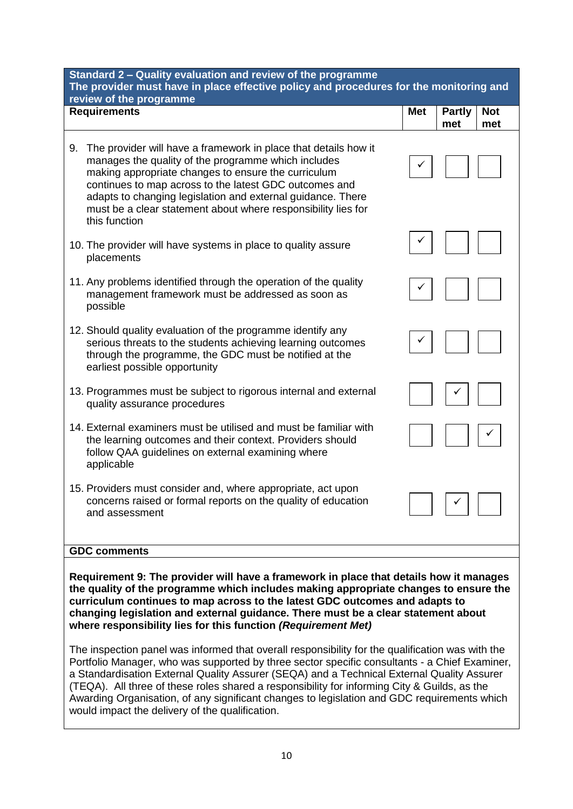| Standard 2 - Quality evaluation and review of the programme<br>The provider must have in place effective policy and procedures for the monitoring and<br>review of the programme                                                                                                                                                                                                               |            |                      |                   |
|------------------------------------------------------------------------------------------------------------------------------------------------------------------------------------------------------------------------------------------------------------------------------------------------------------------------------------------------------------------------------------------------|------------|----------------------|-------------------|
| <b>Requirements</b>                                                                                                                                                                                                                                                                                                                                                                            | <b>Met</b> | <b>Partly</b><br>met | <b>Not</b><br>met |
| The provider will have a framework in place that details how it<br>9.<br>manages the quality of the programme which includes<br>making appropriate changes to ensure the curriculum<br>continues to map across to the latest GDC outcomes and<br>adapts to changing legislation and external guidance. There<br>must be a clear statement about where responsibility lies for<br>this function |            |                      |                   |
| 10. The provider will have systems in place to quality assure<br>placements                                                                                                                                                                                                                                                                                                                    |            |                      |                   |
| 11. Any problems identified through the operation of the quality<br>management framework must be addressed as soon as<br>possible                                                                                                                                                                                                                                                              |            |                      |                   |
| 12. Should quality evaluation of the programme identify any<br>serious threats to the students achieving learning outcomes<br>through the programme, the GDC must be notified at the<br>earliest possible opportunity                                                                                                                                                                          |            |                      |                   |
| 13. Programmes must be subject to rigorous internal and external<br>quality assurance procedures                                                                                                                                                                                                                                                                                               |            |                      |                   |
| 14. External examiners must be utilised and must be familiar with<br>the learning outcomes and their context. Providers should<br>follow QAA guidelines on external examining where<br>applicable                                                                                                                                                                                              |            |                      |                   |
| 15. Providers must consider and, where appropriate, act upon<br>concerns raised or formal reports on the quality of education<br>and assessment                                                                                                                                                                                                                                                |            |                      |                   |
| <b>GDC comments</b>                                                                                                                                                                                                                                                                                                                                                                            |            |                      |                   |
| Requirement 9: The provider will have a framework in place that details how it manages<br>the quality of the programme which includes making appropriate changes to ensure the<br>curriculum continues to map across to the latest GDC outcomes and adapts to<br>changing legislation and oxternal quidance. There must be a clear statement about                                             |            |                      |                   |

#### **changing legislation and external guidance. There must be a clear statement about where responsibility lies for this function** *(Requirement Met)*

The inspection panel was informed that overall responsibility for the qualification was with the Portfolio Manager, who was supported by three sector specific consultants - a Chief Examiner, a Standardisation External Quality Assurer (SEQA) and a Technical External Quality Assurer (TEQA). All three of these roles shared a responsibility for informing City & Guilds, as the Awarding Organisation, of any significant changes to legislation and GDC requirements which would impact the delivery of the qualification.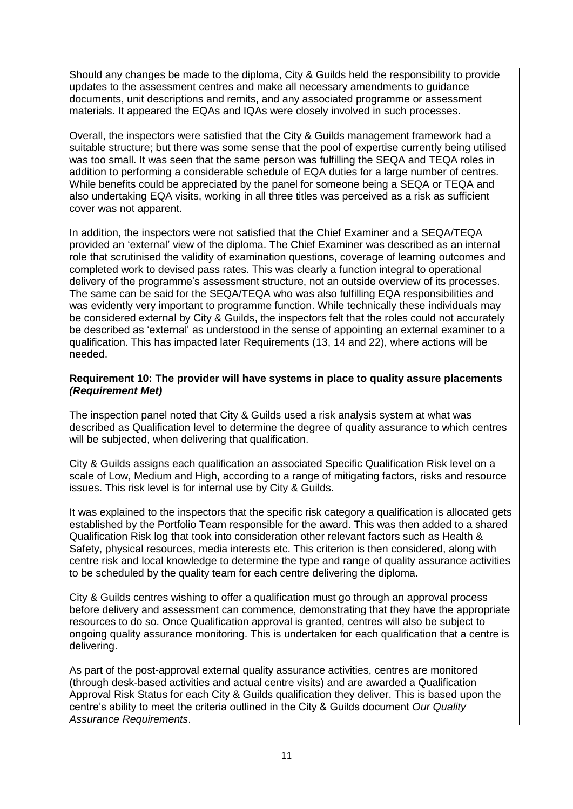Should any changes be made to the diploma, City & Guilds held the responsibility to provide updates to the assessment centres and make all necessary amendments to guidance documents, unit descriptions and remits, and any associated programme or assessment materials. It appeared the EQAs and IQAs were closely involved in such processes.

Overall, the inspectors were satisfied that the City & Guilds management framework had a suitable structure; but there was some sense that the pool of expertise currently being utilised was too small. It was seen that the same person was fulfilling the SEQA and TEQA roles in addition to performing a considerable schedule of EQA duties for a large number of centres. While benefits could be appreciated by the panel for someone being a SEQA or TEQA and also undertaking EQA visits, working in all three titles was perceived as a risk as sufficient cover was not apparent.

In addition, the inspectors were not satisfied that the Chief Examiner and a SEQA/TEQA provided an 'external' view of the diploma. The Chief Examiner was described as an internal role that scrutinised the validity of examination questions, coverage of learning outcomes and completed work to devised pass rates. This was clearly a function integral to operational delivery of the programme's assessment structure, not an outside overview of its processes. The same can be said for the SEQA/TEQA who was also fulfilling EQA responsibilities and was evidently very important to programme function. While technically these individuals may be considered external by City & Guilds, the inspectors felt that the roles could not accurately be described as 'external' as understood in the sense of appointing an external examiner to a qualification. This has impacted later Requirements (13, 14 and 22), where actions will be needed.

### **Requirement 10: The provider will have systems in place to quality assure placements** *(Requirement Met)*

The inspection panel noted that City & Guilds used a risk analysis system at what was described as Qualification level to determine the degree of quality assurance to which centres will be subjected, when delivering that qualification.

City & Guilds assigns each qualification an associated Specific Qualification Risk level on a scale of Low, Medium and High, according to a range of mitigating factors, risks and resource issues. This risk level is for internal use by City & Guilds.

It was explained to the inspectors that the specific risk category a qualification is allocated gets established by the Portfolio Team responsible for the award. This was then added to a shared Qualification Risk log that took into consideration other relevant factors such as Health & Safety, physical resources, media interests etc. This criterion is then considered, along with centre risk and local knowledge to determine the type and range of quality assurance activities to be scheduled by the quality team for each centre delivering the diploma.

City & Guilds centres wishing to offer a qualification must go through an approval process before delivery and assessment can commence, demonstrating that they have the appropriate resources to do so. Once Qualification approval is granted, centres will also be subject to ongoing quality assurance monitoring. This is undertaken for each qualification that a centre is delivering.

As part of the post-approval external quality assurance activities, centres are monitored (through desk-based activities and actual centre visits) and are awarded a Qualification Approval Risk Status for each City & Guilds qualification they deliver. This is based upon the centre's ability to meet the criteria outlined in the City & Guilds document *Our Quality Assurance Requirements*.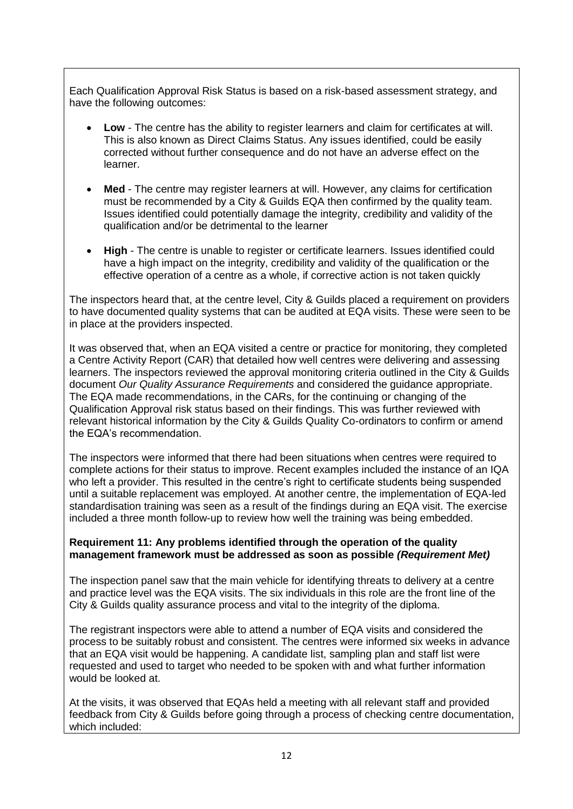Each Qualification Approval Risk Status is based on a risk-based assessment strategy, and have the following outcomes:

- **Low** The centre has the ability to register learners and claim for certificates at will. This is also known as Direct Claims Status. Any issues identified, could be easily corrected without further consequence and do not have an adverse effect on the learner.
- **Med** The centre may register learners at will. However, any claims for certification must be recommended by a City & Guilds EQA then confirmed by the quality team. Issues identified could potentially damage the integrity, credibility and validity of the qualification and/or be detrimental to the learner
- **High** The centre is unable to register or certificate learners. Issues identified could have a high impact on the integrity, credibility and validity of the qualification or the effective operation of a centre as a whole, if corrective action is not taken quickly

The inspectors heard that, at the centre level, City & Guilds placed a requirement on providers to have documented quality systems that can be audited at EQA visits. These were seen to be in place at the providers inspected.

It was observed that, when an EQA visited a centre or practice for monitoring, they completed a Centre Activity Report (CAR) that detailed how well centres were delivering and assessing learners. The inspectors reviewed the approval monitoring criteria outlined in the City & Guilds document *Our Quality Assurance Requirements* and considered the guidance appropriate. The EQA made recommendations, in the CARs, for the continuing or changing of the Qualification Approval risk status based on their findings. This was further reviewed with relevant historical information by the City & Guilds Quality Co-ordinators to confirm or amend the EQA's recommendation.

The inspectors were informed that there had been situations when centres were required to complete actions for their status to improve. Recent examples included the instance of an IQA who left a provider. This resulted in the centre's right to certificate students being suspended until a suitable replacement was employed. At another centre, the implementation of EQA-led standardisation training was seen as a result of the findings during an EQA visit. The exercise included a three month follow-up to review how well the training was being embedded.

## **Requirement 11: Any problems identified through the operation of the quality management framework must be addressed as soon as possible** *(Requirement Met)*

The inspection panel saw that the main vehicle for identifying threats to delivery at a centre and practice level was the EQA visits. The six individuals in this role are the front line of the City & Guilds quality assurance process and vital to the integrity of the diploma.

The registrant inspectors were able to attend a number of EQA visits and considered the process to be suitably robust and consistent. The centres were informed six weeks in advance that an EQA visit would be happening. A candidate list, sampling plan and staff list were requested and used to target who needed to be spoken with and what further information would be looked at.

At the visits, it was observed that EQAs held a meeting with all relevant staff and provided feedback from City & Guilds before going through a process of checking centre documentation, which included: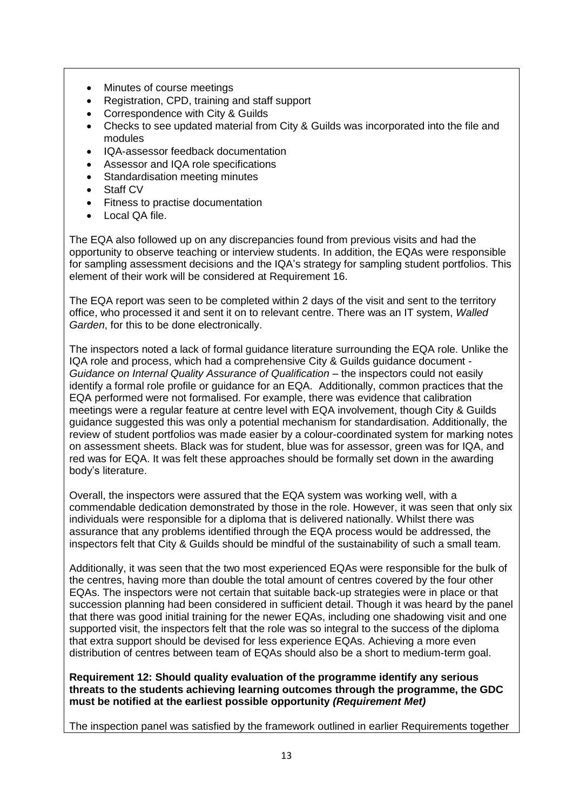- Minutes of course meetings
- Registration, CPD, training and staff support
- Correspondence with City & Guilds
- Checks to see updated material from City & Guilds was incorporated into the file and modules
- IQA-assessor feedback documentation
- Assessor and IQA role specifications
- Standardisation meeting minutes
- Staff CV
- Fitness to practise documentation
- Local QA file.

The EQA also followed up on any discrepancies found from previous visits and had the opportunity to observe teaching or interview students. In addition, the EQAs were responsible for sampling assessment decisions and the IQA's strategy for sampling student portfolios. This element of their work will be considered at Requirement 16.

The EQA report was seen to be completed within 2 days of the visit and sent to the territory office, who processed it and sent it on to relevant centre. There was an IT system, *Walled Garden*, for this to be done electronically.

The inspectors noted a lack of formal guidance literature surrounding the EQA role. Unlike the IQA role and process, which had a comprehensive City & Guilds guidance document - *Guidance on Internal Quality Assurance of Qualification* – the inspectors could not easily identify a formal role profile or guidance for an EQA. Additionally, common practices that the EQA performed were not formalised. For example, there was evidence that calibration meetings were a regular feature at centre level with EQA involvement, though City & Guilds guidance suggested this was only a potential mechanism for standardisation. Additionally, the review of student portfolios was made easier by a colour-coordinated system for marking notes on assessment sheets. Black was for student, blue was for assessor, green was for IQA, and red was for EQA. It was felt these approaches should be formally set down in the awarding body's literature.

Overall, the inspectors were assured that the EQA system was working well, with a commendable dedication demonstrated by those in the role. However, it was seen that only six individuals were responsible for a diploma that is delivered nationally. Whilst there was assurance that any problems identified through the EQA process would be addressed, the inspectors felt that City & Guilds should be mindful of the sustainability of such a small team.

Additionally, it was seen that the two most experienced EQAs were responsible for the bulk of the centres, having more than double the total amount of centres covered by the four other EQAs. The inspectors were not certain that suitable back-up strategies were in place or that succession planning had been considered in sufficient detail. Though it was heard by the panel that there was good initial training for the newer EQAs, including one shadowing visit and one supported visit, the inspectors felt that the role was so integral to the success of the diploma that extra support should be devised for less experience EQAs. Achieving a more even distribution of centres between team of EQAs should also be a short to medium-term goal.

**Requirement 12: Should quality evaluation of the programme identify any serious threats to the students achieving learning outcomes through the programme, the GDC must be notified at the earliest possible opportunity** *(Requirement Met)*

The inspection panel was satisfied by the framework outlined in earlier Requirements together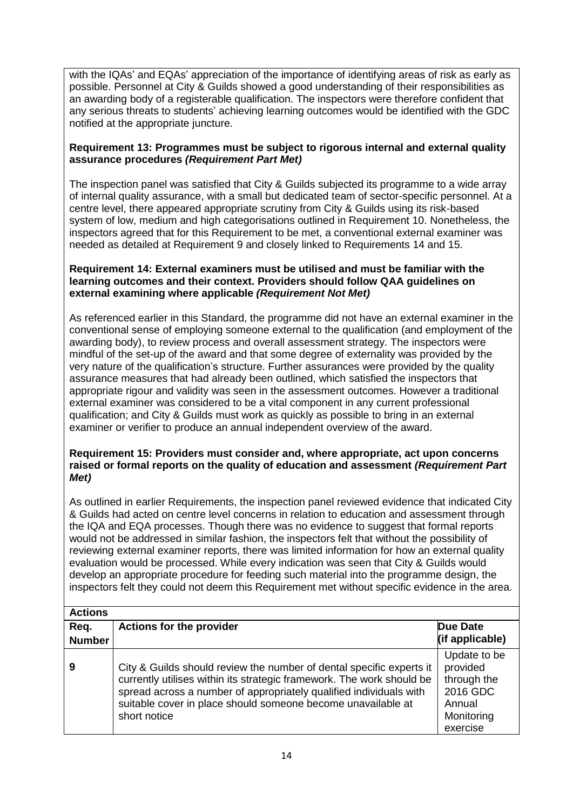with the IQAs' and EQAs' appreciation of the importance of identifying areas of risk as early as possible. Personnel at City & Guilds showed a good understanding of their responsibilities as an awarding body of a registerable qualification. The inspectors were therefore confident that any serious threats to students' achieving learning outcomes would be identified with the GDC notified at the appropriate juncture.

### **Requirement 13: Programmes must be subject to rigorous internal and external quality assurance procedures** *(Requirement Part Met)*

The inspection panel was satisfied that City & Guilds subjected its programme to a wide array of internal quality assurance, with a small but dedicated team of sector-specific personnel. At a centre level, there appeared appropriate scrutiny from City & Guilds using its risk-based system of low, medium and high categorisations outlined in Requirement 10. Nonetheless, the inspectors agreed that for this Requirement to be met, a conventional external examiner was needed as detailed at Requirement 9 and closely linked to Requirements 14 and 15.

#### **Requirement 14: External examiners must be utilised and must be familiar with the learning outcomes and their context. Providers should follow QAA guidelines on external examining where applicable** *(Requirement Not Met)*

As referenced earlier in this Standard, the programme did not have an external examiner in the conventional sense of employing someone external to the qualification (and employment of the awarding body), to review process and overall assessment strategy. The inspectors were mindful of the set-up of the award and that some degree of externality was provided by the very nature of the qualification's structure. Further assurances were provided by the quality assurance measures that had already been outlined, which satisfied the inspectors that appropriate rigour and validity was seen in the assessment outcomes. However a traditional external examiner was considered to be a vital component in any current professional qualification; and City & Guilds must work as quickly as possible to bring in an external examiner or verifier to produce an annual independent overview of the award.

#### **Requirement 15: Providers must consider and, where appropriate, act upon concerns raised or formal reports on the quality of education and assessment** *(Requirement Part Met)*

As outlined in earlier Requirements, the inspection panel reviewed evidence that indicated City & Guilds had acted on centre level concerns in relation to education and assessment through the IQA and EQA processes. Though there was no evidence to suggest that formal reports would not be addressed in similar fashion, the inspectors felt that without the possibility of reviewing external examiner reports, there was limited information for how an external quality evaluation would be processed. While every indication was seen that City & Guilds would develop an appropriate procedure for feeding such material into the programme design, the inspectors felt they could not deem this Requirement met without specific evidence in the area.

| <b>Actions</b>        |                                                                                                                                                                                                                                                                                                     |                                                                                         |
|-----------------------|-----------------------------------------------------------------------------------------------------------------------------------------------------------------------------------------------------------------------------------------------------------------------------------------------------|-----------------------------------------------------------------------------------------|
| Req.<br><b>Number</b> | <b>Actions for the provider</b>                                                                                                                                                                                                                                                                     | <b>Due Date</b><br>(if applicable)                                                      |
| 9                     | City & Guilds should review the number of dental specific experts it<br>currently utilises within its strategic framework. The work should be<br>spread across a number of appropriately qualified individuals with<br>suitable cover in place should someone become unavailable at<br>short notice | Update to be<br>provided<br>through the<br>2016 GDC<br>Annual<br>Monitoring<br>exercise |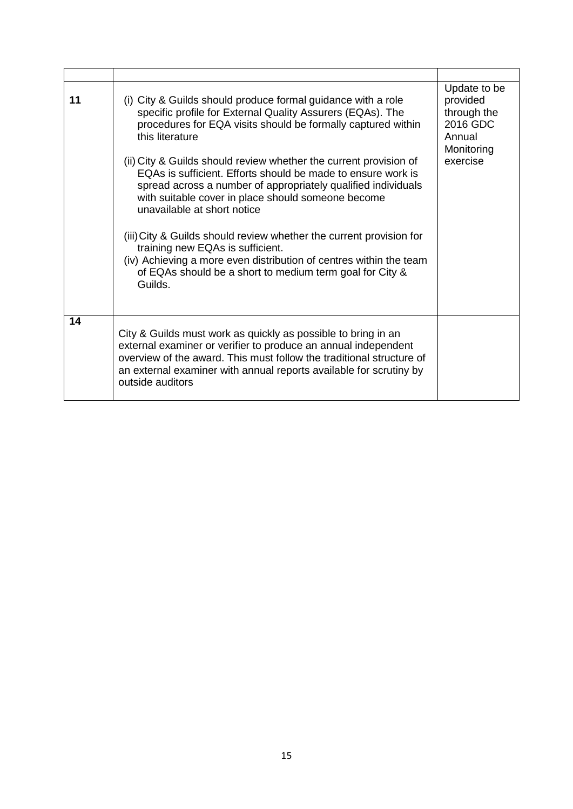| 11 | (i) City & Guilds should produce formal guidance with a role<br>specific profile for External Quality Assurers (EQAs). The<br>procedures for EQA visits should be formally captured within<br>this literature<br>(ii) City & Guilds should review whether the current provision of<br>EQAs is sufficient. Efforts should be made to ensure work is<br>spread across a number of appropriately qualified individuals<br>with suitable cover in place should someone become<br>unavailable at short notice<br>(iii) City & Guilds should review whether the current provision for<br>training new EQAs is sufficient.<br>(iv) Achieving a more even distribution of centres within the team<br>of EQAs should be a short to medium term goal for City &<br>Guilds. | Update to be<br>provided<br>through the<br>2016 GDC<br>Annual<br>Monitoring<br>exercise |
|----|------------------------------------------------------------------------------------------------------------------------------------------------------------------------------------------------------------------------------------------------------------------------------------------------------------------------------------------------------------------------------------------------------------------------------------------------------------------------------------------------------------------------------------------------------------------------------------------------------------------------------------------------------------------------------------------------------------------------------------------------------------------|-----------------------------------------------------------------------------------------|
| 14 | City & Guilds must work as quickly as possible to bring in an<br>external examiner or verifier to produce an annual independent<br>overview of the award. This must follow the traditional structure of<br>an external examiner with annual reports available for scrutiny by<br>outside auditors                                                                                                                                                                                                                                                                                                                                                                                                                                                                |                                                                                         |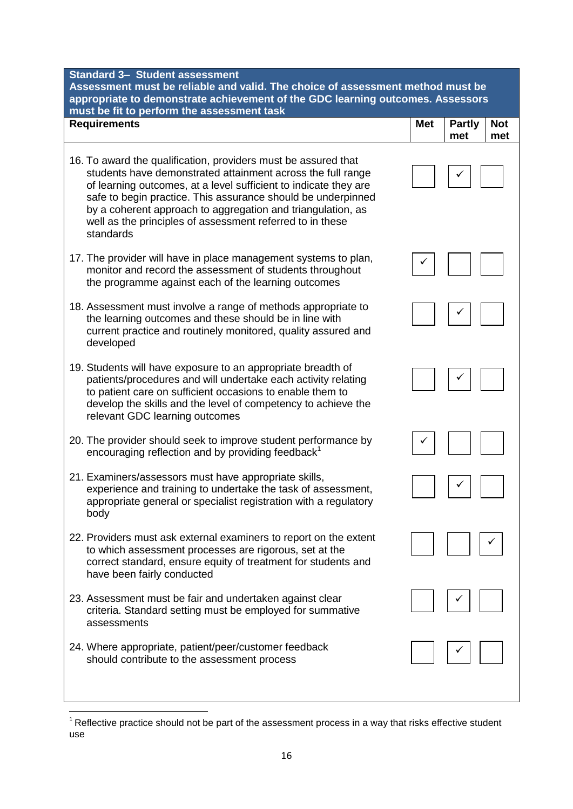| <b>Standard 3- Student assessment</b><br>Assessment must be reliable and valid. The choice of assessment method must be<br>appropriate to demonstrate achievement of the GDC learning outcomes. Assessors                                                                                                                                                                                                  |            |                                           |  |
|------------------------------------------------------------------------------------------------------------------------------------------------------------------------------------------------------------------------------------------------------------------------------------------------------------------------------------------------------------------------------------------------------------|------------|-------------------------------------------|--|
| must be fit to perform the assessment task<br><b>Requirements</b>                                                                                                                                                                                                                                                                                                                                          | <b>Met</b> | <b>Partly</b><br><b>Not</b><br>met<br>met |  |
| 16. To award the qualification, providers must be assured that<br>students have demonstrated attainment across the full range<br>of learning outcomes, at a level sufficient to indicate they are<br>safe to begin practice. This assurance should be underpinned<br>by a coherent approach to aggregation and triangulation, as<br>well as the principles of assessment referred to in these<br>standards |            |                                           |  |
| 17. The provider will have in place management systems to plan,<br>monitor and record the assessment of students throughout<br>the programme against each of the learning outcomes                                                                                                                                                                                                                         |            |                                           |  |
| 18. Assessment must involve a range of methods appropriate to<br>the learning outcomes and these should be in line with<br>current practice and routinely monitored, quality assured and<br>developed                                                                                                                                                                                                      |            |                                           |  |
| 19. Students will have exposure to an appropriate breadth of<br>patients/procedures and will undertake each activity relating<br>to patient care on sufficient occasions to enable them to<br>develop the skills and the level of competency to achieve the<br>relevant GDC learning outcomes                                                                                                              |            |                                           |  |
| 20. The provider should seek to improve student performance by<br>encouraging reflection and by providing feedback <sup>1</sup>                                                                                                                                                                                                                                                                            |            |                                           |  |
| 21. Examiners/assessors must have appropriate skills,<br>experience and training to undertake the task of assessment,<br>appropriate general or specialist registration with a regulatory<br>body                                                                                                                                                                                                          |            |                                           |  |
| 22. Providers must ask external examiners to report on the extent<br>to which assessment processes are rigorous, set at the<br>correct standard, ensure equity of treatment for students and<br>have been fairly conducted                                                                                                                                                                                 |            |                                           |  |
| 23. Assessment must be fair and undertaken against clear<br>criteria. Standard setting must be employed for summative<br>assessments                                                                                                                                                                                                                                                                       |            |                                           |  |
| 24. Where appropriate, patient/peer/customer feedback<br>should contribute to the assessment process                                                                                                                                                                                                                                                                                                       |            |                                           |  |

**.** 

 $1$  Reflective practice should not be part of the assessment process in a way that risks effective student use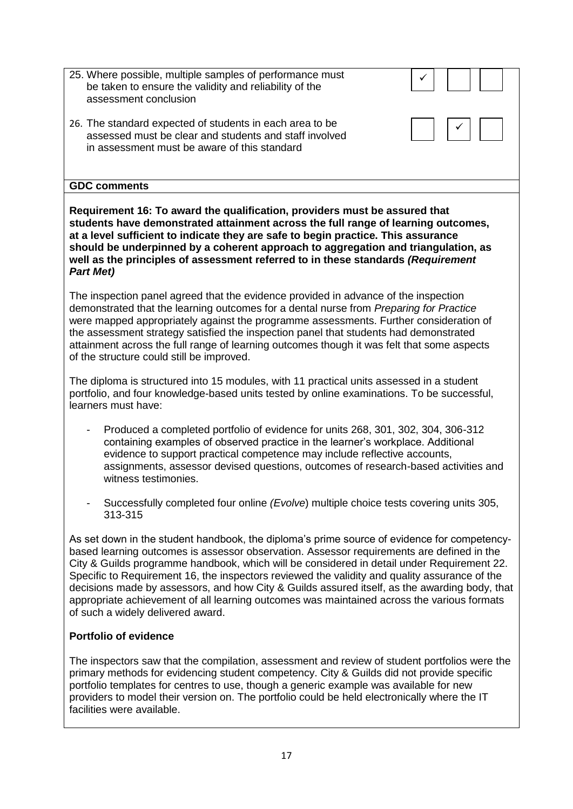| 25. Where possible, multiple samples of performance must<br>be taken to ensure the validity and reliability of the<br>assessment conclusion                        |  |
|--------------------------------------------------------------------------------------------------------------------------------------------------------------------|--|
| 26. The standard expected of students in each area to be<br>assessed must be clear and students and staff involved<br>in assessment must be aware of this standard |  |
| <b>GDC comments</b>                                                                                                                                                |  |
| Requirement 16: To quierd the qualification providers must be assured that                                                                                         |  |

**Requirement 16: To award the qualification, providers must be assured that students have demonstrated attainment across the full range of learning outcomes, at a level sufficient to indicate they are safe to begin practice. This assurance should be underpinned by a coherent approach to aggregation and triangulation, as well as the principles of assessment referred to in these standards** *(Requirement Part Met)*

The inspection panel agreed that the evidence provided in advance of the inspection demonstrated that the learning outcomes for a dental nurse from *Preparing for Practice*  were mapped appropriately against the programme assessments. Further consideration of the assessment strategy satisfied the inspection panel that students had demonstrated attainment across the full range of learning outcomes though it was felt that some aspects of the structure could still be improved.

The diploma is structured into 15 modules, with 11 practical units assessed in a student portfolio, and four knowledge-based units tested by online examinations. To be successful, learners must have:

- Produced a completed portfolio of evidence for units 268, 301, 302, 304, 306-312 containing examples of observed practice in the learner's workplace. Additional evidence to support practical competence may include reflective accounts, assignments, assessor devised questions, outcomes of research-based activities and witness testimonies.
- Successfully completed four online *(Evolve*) multiple choice tests covering units 305, 313-315

As set down in the student handbook, the diploma's prime source of evidence for competencybased learning outcomes is assessor observation. Assessor requirements are defined in the City & Guilds programme handbook, which will be considered in detail under Requirement 22. Specific to Requirement 16, the inspectors reviewed the validity and quality assurance of the decisions made by assessors, and how City & Guilds assured itself, as the awarding body, that appropriate achievement of all learning outcomes was maintained across the various formats of such a widely delivered award.

# **Portfolio of evidence**

The inspectors saw that the compilation, assessment and review of student portfolios were the primary methods for evidencing student competency. City & Guilds did not provide specific portfolio templates for centres to use, though a generic example was available for new providers to model their version on. The portfolio could be held electronically where the IT facilities were available.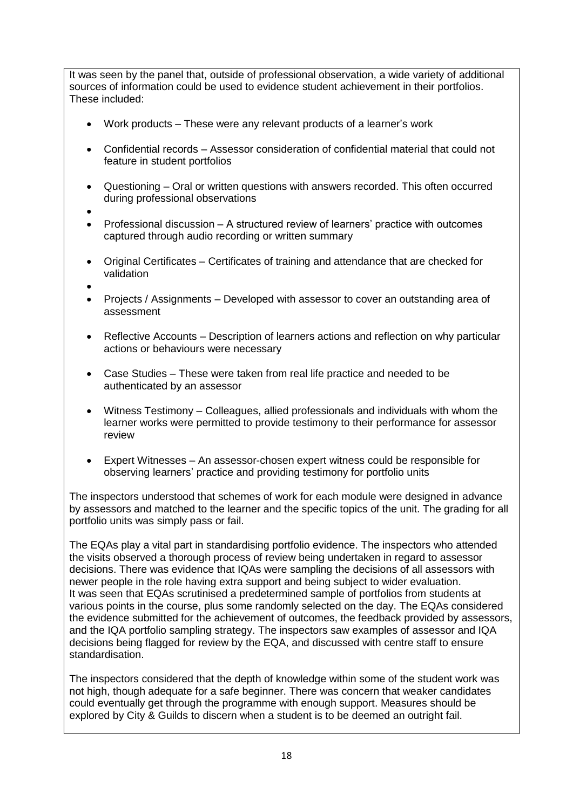It was seen by the panel that, outside of professional observation, a wide variety of additional sources of information could be used to evidence student achievement in their portfolios. These included:

- Work products These were any relevant products of a learner's work
- Confidential records Assessor consideration of confidential material that could not feature in student portfolios
- Questioning Oral or written questions with answers recorded. This often occurred during professional observations
- $\bullet$
- Professional discussion A structured review of learners' practice with outcomes captured through audio recording or written summary
- Original Certificates Certificates of training and attendance that are checked for validation
- $\bullet$
- Projects / Assignments Developed with assessor to cover an outstanding area of assessment
- Reflective Accounts Description of learners actions and reflection on why particular actions or behaviours were necessary
- Case Studies These were taken from real life practice and needed to be authenticated by an assessor
- Witness Testimony Colleagues, allied professionals and individuals with whom the learner works were permitted to provide testimony to their performance for assessor review
- Expert Witnesses An assessor-chosen expert witness could be responsible for observing learners' practice and providing testimony for portfolio units

The inspectors understood that schemes of work for each module were designed in advance by assessors and matched to the learner and the specific topics of the unit. The grading for all portfolio units was simply pass or fail.

The EQAs play a vital part in standardising portfolio evidence. The inspectors who attended the visits observed a thorough process of review being undertaken in regard to assessor decisions. There was evidence that IQAs were sampling the decisions of all assessors with newer people in the role having extra support and being subject to wider evaluation. It was seen that EQAs scrutinised a predetermined sample of portfolios from students at various points in the course, plus some randomly selected on the day. The EQAs considered the evidence submitted for the achievement of outcomes, the feedback provided by assessors, and the IQA portfolio sampling strategy. The inspectors saw examples of assessor and IQA decisions being flagged for review by the EQA, and discussed with centre staff to ensure standardisation.

The inspectors considered that the depth of knowledge within some of the student work was not high, though adequate for a safe beginner. There was concern that weaker candidates could eventually get through the programme with enough support. Measures should be explored by City & Guilds to discern when a student is to be deemed an outright fail.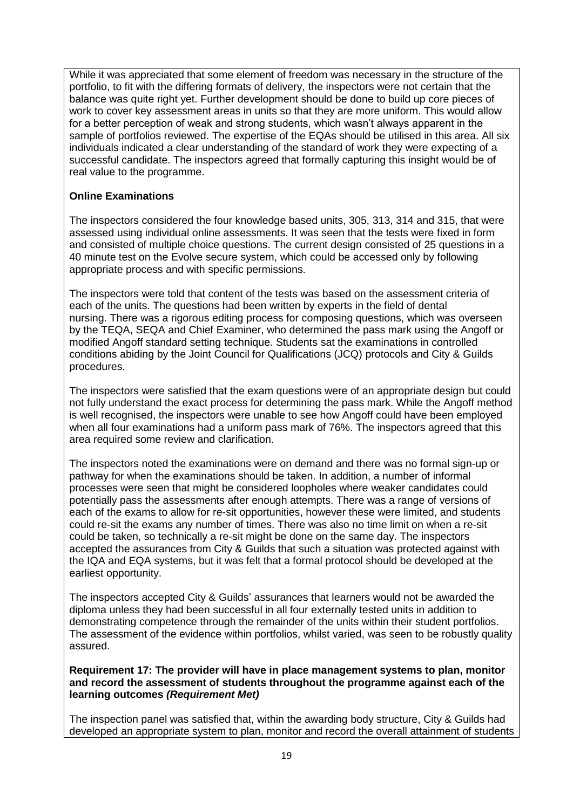While it was appreciated that some element of freedom was necessary in the structure of the portfolio, to fit with the differing formats of delivery, the inspectors were not certain that the balance was quite right yet. Further development should be done to build up core pieces of work to cover key assessment areas in units so that they are more uniform. This would allow for a better perception of weak and strong students, which wasn't always apparent in the sample of portfolios reviewed. The expertise of the EQAs should be utilised in this area. All six individuals indicated a clear understanding of the standard of work they were expecting of a successful candidate. The inspectors agreed that formally capturing this insight would be of real value to the programme.

# **Online Examinations**

The inspectors considered the four knowledge based units, 305, 313, 314 and 315, that were assessed using individual online assessments. It was seen that the tests were fixed in form and consisted of multiple choice questions. The current design consisted of 25 questions in a 40 minute test on the Evolve secure system, which could be accessed only by following appropriate process and with specific permissions.

The inspectors were told that content of the tests was based on the assessment criteria of each of the units. The questions had been written by experts in the field of dental nursing. There was a rigorous editing process for composing questions, which was overseen by the TEQA, SEQA and Chief Examiner, who determined the pass mark using the Angoff or modified Angoff standard setting technique. Students sat the examinations in controlled conditions abiding by the Joint Council for Qualifications (JCQ) protocols and City & Guilds procedures.

The inspectors were satisfied that the exam questions were of an appropriate design but could not fully understand the exact process for determining the pass mark. While the Angoff method is well recognised, the inspectors were unable to see how Angoff could have been employed when all four examinations had a uniform pass mark of 76%. The inspectors agreed that this area required some review and clarification.

The inspectors noted the examinations were on demand and there was no formal sign-up or pathway for when the examinations should be taken. In addition, a number of informal processes were seen that might be considered loopholes where weaker candidates could potentially pass the assessments after enough attempts. There was a range of versions of each of the exams to allow for re-sit opportunities, however these were limited, and students could re-sit the exams any number of times. There was also no time limit on when a re-sit could be taken, so technically a re-sit might be done on the same day. The inspectors accepted the assurances from City & Guilds that such a situation was protected against with the IQA and EQA systems, but it was felt that a formal protocol should be developed at the earliest opportunity.

The inspectors accepted City & Guilds' assurances that learners would not be awarded the diploma unless they had been successful in all four externally tested units in addition to demonstrating competence through the remainder of the units within their student portfolios. The assessment of the evidence within portfolios, whilst varied, was seen to be robustly quality assured.

#### **Requirement 17: The provider will have in place management systems to plan, monitor and record the assessment of students throughout the programme against each of the learning outcomes** *(Requirement Met)*

The inspection panel was satisfied that, within the awarding body structure, City & Guilds had developed an appropriate system to plan, monitor and record the overall attainment of students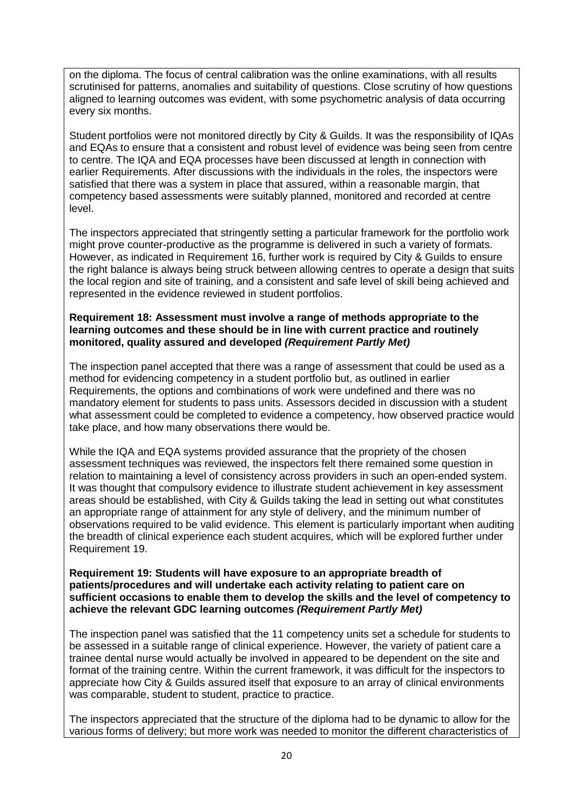on the diploma. The focus of central calibration was the online examinations, with all results scrutinised for patterns, anomalies and suitability of questions. Close scrutiny of how questions aligned to learning outcomes was evident, with some psychometric analysis of data occurring every six months.

Student portfolios were not monitored directly by City & Guilds. It was the responsibility of IQAs and EQAs to ensure that a consistent and robust level of evidence was being seen from centre to centre. The IQA and EQA processes have been discussed at length in connection with earlier Requirements. After discussions with the individuals in the roles, the inspectors were satisfied that there was a system in place that assured, within a reasonable margin, that competency based assessments were suitably planned, monitored and recorded at centre level.

The inspectors appreciated that stringently setting a particular framework for the portfolio work might prove counter-productive as the programme is delivered in such a variety of formats. However, as indicated in Requirement 16, further work is required by City & Guilds to ensure the right balance is always being struck between allowing centres to operate a design that suits the local region and site of training, and a consistent and safe level of skill being achieved and represented in the evidence reviewed in student portfolios.

#### **Requirement 18: Assessment must involve a range of methods appropriate to the learning outcomes and these should be in line with current practice and routinely monitored, quality assured and developed** *(Requirement Partly Met)*

The inspection panel accepted that there was a range of assessment that could be used as a method for evidencing competency in a student portfolio but, as outlined in earlier Requirements, the options and combinations of work were undefined and there was no mandatory element for students to pass units. Assessors decided in discussion with a student what assessment could be completed to evidence a competency, how observed practice would take place, and how many observations there would be.

While the IQA and EQA systems provided assurance that the propriety of the chosen assessment techniques was reviewed, the inspectors felt there remained some question in relation to maintaining a level of consistency across providers in such an open-ended system. It was thought that compulsory evidence to illustrate student achievement in key assessment areas should be established, with City & Guilds taking the lead in setting out what constitutes an appropriate range of attainment for any style of delivery, and the minimum number of observations required to be valid evidence. This element is particularly important when auditing the breadth of clinical experience each student acquires, which will be explored further under Requirement 19.

#### **Requirement 19: Students will have exposure to an appropriate breadth of patients/procedures and will undertake each activity relating to patient care on sufficient occasions to enable them to develop the skills and the level of competency to achieve the relevant GDC learning outcomes** *(Requirement Partly Met)*

The inspection panel was satisfied that the 11 competency units set a schedule for students to be assessed in a suitable range of clinical experience. However, the variety of patient care a trainee dental nurse would actually be involved in appeared to be dependent on the site and format of the training centre. Within the current framework, it was difficult for the inspectors to appreciate how City & Guilds assured itself that exposure to an array of clinical environments was comparable, student to student, practice to practice.

The inspectors appreciated that the structure of the diploma had to be dynamic to allow for the various forms of delivery; but more work was needed to monitor the different characteristics of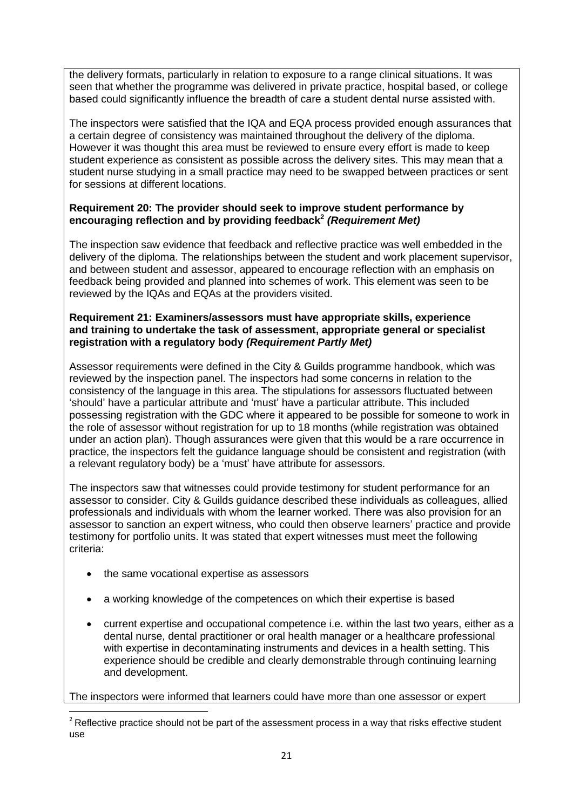the delivery formats, particularly in relation to exposure to a range clinical situations. It was seen that whether the programme was delivered in private practice, hospital based, or college based could significantly influence the breadth of care a student dental nurse assisted with.

The inspectors were satisfied that the IQA and EQA process provided enough assurances that a certain degree of consistency was maintained throughout the delivery of the diploma. However it was thought this area must be reviewed to ensure every effort is made to keep student experience as consistent as possible across the delivery sites. This may mean that a student nurse studying in a small practice may need to be swapped between practices or sent for sessions at different locations.

## **Requirement 20: The provider should seek to improve student performance by encouraging reflection and by providing feedback<sup>2</sup>** *(Requirement Met)*

The inspection saw evidence that feedback and reflective practice was well embedded in the delivery of the diploma. The relationships between the student and work placement supervisor, and between student and assessor, appeared to encourage reflection with an emphasis on feedback being provided and planned into schemes of work. This element was seen to be reviewed by the IQAs and EQAs at the providers visited.

### **Requirement 21: Examiners/assessors must have appropriate skills, experience and training to undertake the task of assessment, appropriate general or specialist registration with a regulatory body** *(Requirement Partly Met)*

Assessor requirements were defined in the City & Guilds programme handbook, which was reviewed by the inspection panel. The inspectors had some concerns in relation to the consistency of the language in this area. The stipulations for assessors fluctuated between 'should' have a particular attribute and 'must' have a particular attribute. This included possessing registration with the GDC where it appeared to be possible for someone to work in the role of assessor without registration for up to 18 months (while registration was obtained under an action plan). Though assurances were given that this would be a rare occurrence in practice, the inspectors felt the guidance language should be consistent and registration (with a relevant regulatory body) be a 'must' have attribute for assessors.

The inspectors saw that witnesses could provide testimony for student performance for an assessor to consider. City & Guilds guidance described these individuals as colleagues, allied professionals and individuals with whom the learner worked. There was also provision for an assessor to sanction an expert witness, who could then observe learners' practice and provide testimony for portfolio units. It was stated that expert witnesses must meet the following criteria:

- the same vocational expertise as assessors
- a working knowledge of the competences on which their expertise is based
- current expertise and occupational competence i.e. within the last two years, either as a dental nurse, dental practitioner or oral health manager or a healthcare professional with expertise in decontaminating instruments and devices in a health setting. This experience should be credible and clearly demonstrable through continuing learning and development.

The inspectors were informed that learners could have more than one assessor or expert

**<sup>.</sup>**  $2$  Reflective practice should not be part of the assessment process in a way that risks effective student use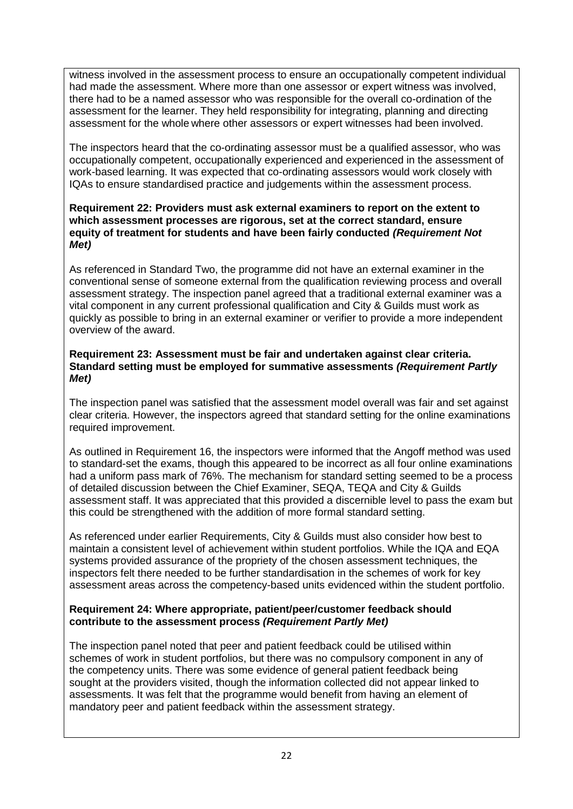witness involved in the assessment process to ensure an occupationally competent individual had made the assessment. Where more than one assessor or expert witness was involved, there had to be a named assessor who was responsible for the overall co-ordination of the assessment for the learner. They held responsibility for integrating, planning and directing assessment for the whole where other assessors or expert witnesses had been involved.

The inspectors heard that the co-ordinating assessor must be a qualified assessor, who was occupationally competent, occupationally experienced and experienced in the assessment of work-based learning. It was expected that co-ordinating assessors would work closely with IQAs to ensure standardised practice and judgements within the assessment process.

#### **Requirement 22: Providers must ask external examiners to report on the extent to which assessment processes are rigorous, set at the correct standard, ensure equity of treatment for students and have been fairly conducted** *(Requirement Not Met)*

As referenced in Standard Two, the programme did not have an external examiner in the conventional sense of someone external from the qualification reviewing process and overall assessment strategy. The inspection panel agreed that a traditional external examiner was a vital component in any current professional qualification and City & Guilds must work as quickly as possible to bring in an external examiner or verifier to provide a more independent overview of the award.

### **Requirement 23: Assessment must be fair and undertaken against clear criteria. Standard setting must be employed for summative assessments** *(Requirement Partly Met)*

The inspection panel was satisfied that the assessment model overall was fair and set against clear criteria. However, the inspectors agreed that standard setting for the online examinations required improvement.

As outlined in Requirement 16, the inspectors were informed that the Angoff method was used to standard-set the exams, though this appeared to be incorrect as all four online examinations had a uniform pass mark of 76%. The mechanism for standard setting seemed to be a process of detailed discussion between the Chief Examiner, SEQA, TEQA and City & Guilds assessment staff. It was appreciated that this provided a discernible level to pass the exam but this could be strengthened with the addition of more formal standard setting.

As referenced under earlier Requirements, City & Guilds must also consider how best to maintain a consistent level of achievement within student portfolios. While the IQA and EQA systems provided assurance of the propriety of the chosen assessment techniques, the inspectors felt there needed to be further standardisation in the schemes of work for key assessment areas across the competency-based units evidenced within the student portfolio.

# **Requirement 24: Where appropriate, patient/peer/customer feedback should contribute to the assessment process** *(Requirement Partly Met)*

The inspection panel noted that peer and patient feedback could be utilised within schemes of work in student portfolios, but there was no compulsory component in any of the competency units. There was some evidence of general patient feedback being sought at the providers visited, though the information collected did not appear linked to assessments. It was felt that the programme would benefit from having an element of mandatory peer and patient feedback within the assessment strategy.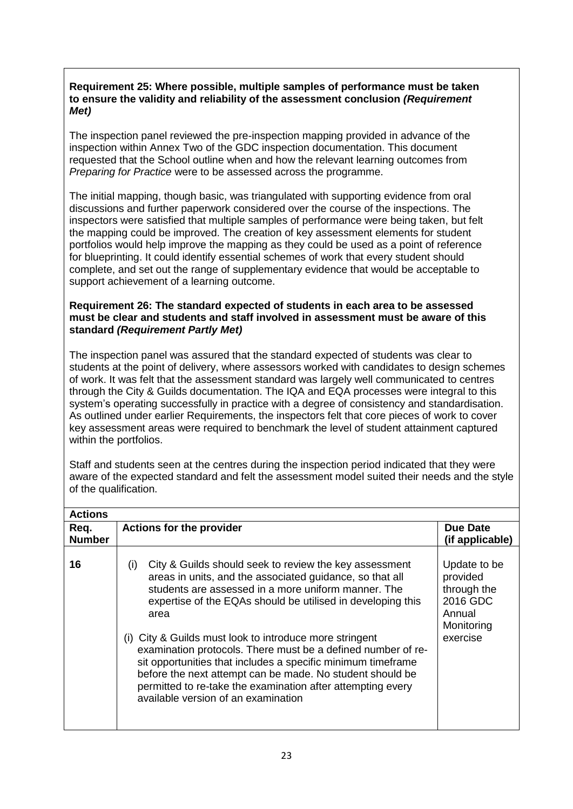## **Requirement 25: Where possible, multiple samples of performance must be taken to ensure the validity and reliability of the assessment conclusion** *(Requirement Met)*

The inspection panel reviewed the pre-inspection mapping provided in advance of the inspection within Annex Two of the GDC inspection documentation. This document requested that the School outline when and how the relevant learning outcomes from *Preparing for Practice* were to be assessed across the programme.

The initial mapping, though basic, was triangulated with supporting evidence from oral discussions and further paperwork considered over the course of the inspections. The inspectors were satisfied that multiple samples of performance were being taken, but felt the mapping could be improved. The creation of key assessment elements for student portfolios would help improve the mapping as they could be used as a point of reference for blueprinting. It could identify essential schemes of work that every student should complete, and set out the range of supplementary evidence that would be acceptable to support achievement of a learning outcome.

### **Requirement 26: The standard expected of students in each area to be assessed must be clear and students and staff involved in assessment must be aware of this standard** *(Requirement Partly Met)*

The inspection panel was assured that the standard expected of students was clear to students at the point of delivery, where assessors worked with candidates to design schemes of work. It was felt that the assessment standard was largely well communicated to centres through the City & Guilds documentation. The IQA and EQA processes were integral to this system's operating successfully in practice with a degree of consistency and standardisation. As outlined under earlier Requirements, the inspectors felt that core pieces of work to cover key assessment areas were required to benchmark the level of student attainment captured within the portfolios.

Staff and students seen at the centres during the inspection period indicated that they were aware of the expected standard and felt the assessment model suited their needs and the style of the qualification.

| <b>Actions</b>        |                                                                                                                                                                                                                                                                                                                                                                                                                                                                                                                                                                                                                       |                                                                                         |
|-----------------------|-----------------------------------------------------------------------------------------------------------------------------------------------------------------------------------------------------------------------------------------------------------------------------------------------------------------------------------------------------------------------------------------------------------------------------------------------------------------------------------------------------------------------------------------------------------------------------------------------------------------------|-----------------------------------------------------------------------------------------|
| Req.<br><b>Number</b> | <b>Actions for the provider</b>                                                                                                                                                                                                                                                                                                                                                                                                                                                                                                                                                                                       | <b>Due Date</b><br>(if applicable)                                                      |
| 16                    | City & Guilds should seek to review the key assessment<br>(i)<br>areas in units, and the associated guidance, so that all<br>students are assessed in a more uniform manner. The<br>expertise of the EQAs should be utilised in developing this<br>area<br>(i) City & Guilds must look to introduce more stringent<br>examination protocols. There must be a defined number of re-<br>sit opportunities that includes a specific minimum timeframe<br>before the next attempt can be made. No student should be<br>permitted to re-take the examination after attempting every<br>available version of an examination | Update to be<br>provided<br>through the<br>2016 GDC<br>Annual<br>Monitoring<br>exercise |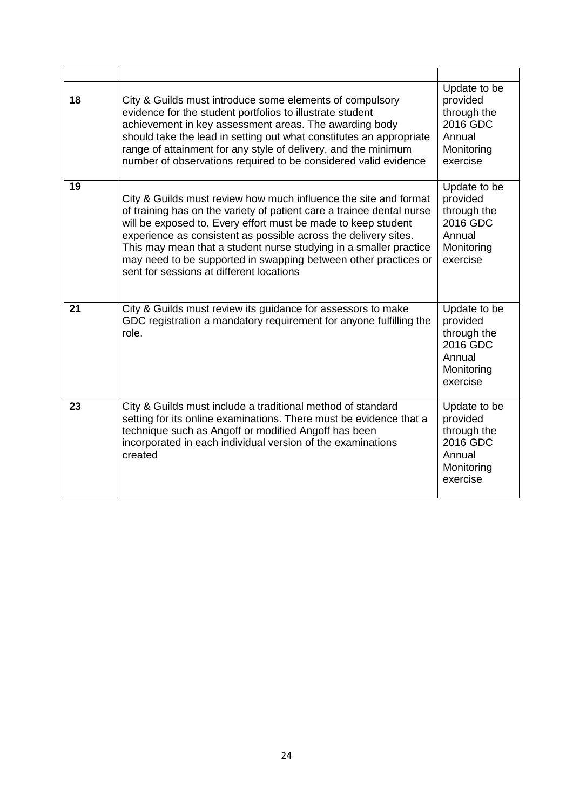| 18 | City & Guilds must introduce some elements of compulsory<br>evidence for the student portfolios to illustrate student<br>achievement in key assessment areas. The awarding body<br>should take the lead in setting out what constitutes an appropriate<br>range of attainment for any style of delivery, and the minimum<br>number of observations required to be considered valid evidence                                                                       | Update to be<br>provided<br>through the<br>2016 GDC<br>Annual<br>Monitoring<br>exercise |
|----|-------------------------------------------------------------------------------------------------------------------------------------------------------------------------------------------------------------------------------------------------------------------------------------------------------------------------------------------------------------------------------------------------------------------------------------------------------------------|-----------------------------------------------------------------------------------------|
| 19 | City & Guilds must review how much influence the site and format<br>of training has on the variety of patient care a trainee dental nurse<br>will be exposed to. Every effort must be made to keep student<br>experience as consistent as possible across the delivery sites.<br>This may mean that a student nurse studying in a smaller practice<br>may need to be supported in swapping between other practices or<br>sent for sessions at different locations | Update to be<br>provided<br>through the<br>2016 GDC<br>Annual<br>Monitoring<br>exercise |
| 21 | City & Guilds must review its guidance for assessors to make<br>GDC registration a mandatory requirement for anyone fulfilling the<br>role.                                                                                                                                                                                                                                                                                                                       | Update to be<br>provided<br>through the<br>2016 GDC<br>Annual<br>Monitoring<br>exercise |
| 23 | City & Guilds must include a traditional method of standard<br>setting for its online examinations. There must be evidence that a<br>technique such as Angoff or modified Angoff has been<br>incorporated in each individual version of the examinations<br>created                                                                                                                                                                                               | Update to be<br>provided<br>through the<br>2016 GDC<br>Annual<br>Monitoring<br>exercise |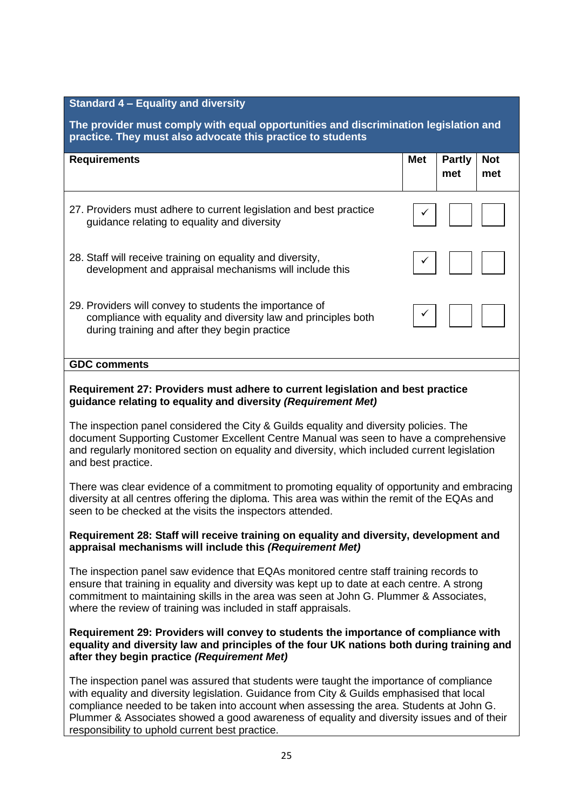| <b>Standard 4 - Equality and diversity</b>                                                                                                                                                                                                                                                             |            |                      |                   |  |
|--------------------------------------------------------------------------------------------------------------------------------------------------------------------------------------------------------------------------------------------------------------------------------------------------------|------------|----------------------|-------------------|--|
| The provider must comply with equal opportunities and discrimination legislation and<br>practice. They must also advocate this practice to students                                                                                                                                                    |            |                      |                   |  |
| <b>Requirements</b>                                                                                                                                                                                                                                                                                    | <b>Met</b> | <b>Partly</b><br>met | <b>Not</b><br>met |  |
| 27. Providers must adhere to current legislation and best practice<br>guidance relating to equality and diversity                                                                                                                                                                                      |            |                      |                   |  |
| 28. Staff will receive training on equality and diversity,<br>development and appraisal mechanisms will include this                                                                                                                                                                                   |            |                      |                   |  |
| 29. Providers will convey to students the importance of<br>compliance with equality and diversity law and principles both<br>during training and after they begin practice                                                                                                                             |            |                      |                   |  |
| <b>GDC comments</b>                                                                                                                                                                                                                                                                                    |            |                      |                   |  |
| Requirement 27: Providers must adhere to current legislation and best practice<br>guidance relating to equality and diversity (Requirement Met)                                                                                                                                                        |            |                      |                   |  |
| The inspection panel considered the City & Guilds equality and diversity policies. The<br>document Supporting Customer Excellent Centre Manual was seen to have a comprehensive<br>and regularly monitored section on equality and diversity, which included current legislation<br>and best practice. |            |                      |                   |  |
| There was clear evidence of a commitment to promoting equality of opportunity and embracing<br>diversity at all centres offering the diploma. This area was within the remit of the EQAs and<br>seen to be checked at the visits the inspectors attended.                                              |            |                      |                   |  |

### **Requirement 28: Staff will receive training on equality and diversity, development and appraisal mechanisms will include this** *(Requirement Met)*

The inspection panel saw evidence that EQAs monitored centre staff training records to ensure that training in equality and diversity was kept up to date at each centre. A strong commitment to maintaining skills in the area was seen at John G. Plummer & Associates, where the review of training was included in staff appraisals.

### **Requirement 29: Providers will convey to students the importance of compliance with equality and diversity law and principles of the four UK nations both during training and after they begin practice** *(Requirement Met)*

The inspection panel was assured that students were taught the importance of compliance with equality and diversity legislation. Guidance from City & Guilds emphasised that local compliance needed to be taken into account when assessing the area. Students at John G. Plummer & Associates showed a good awareness of equality and diversity issues and of their responsibility to uphold current best practice.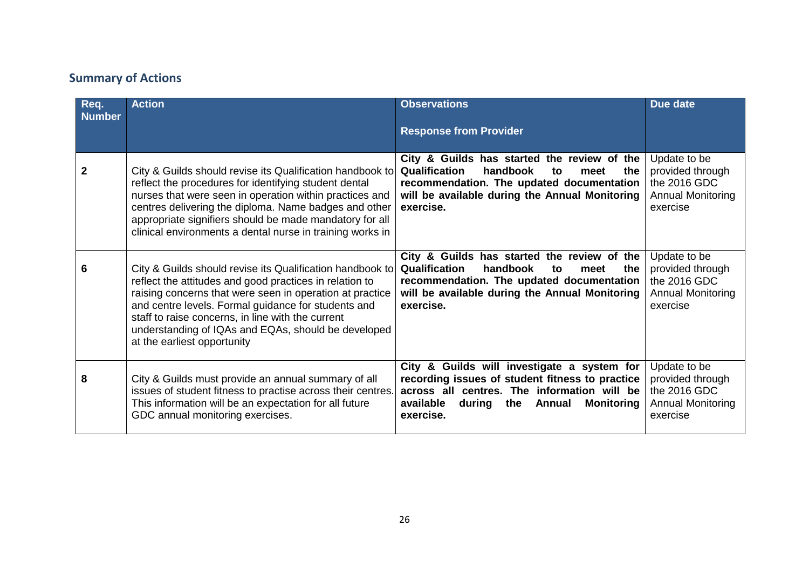# **Summary of Actions**

| Req.<br><b>Number</b> | <b>Action</b>                                                                                                                                                                                                                                                                                                                                                                      | <b>Observations</b><br><b>Response from Provider</b>                                                                                                                                                                        | Due date                                                                                 |
|-----------------------|------------------------------------------------------------------------------------------------------------------------------------------------------------------------------------------------------------------------------------------------------------------------------------------------------------------------------------------------------------------------------------|-----------------------------------------------------------------------------------------------------------------------------------------------------------------------------------------------------------------------------|------------------------------------------------------------------------------------------|
| $\mathbf 2$           | City & Guilds should revise its Qualification handbook to<br>reflect the procedures for identifying student dental<br>nurses that were seen in operation within practices and<br>centres delivering the diploma. Name badges and other<br>appropriate signifiers should be made mandatory for all<br>clinical environments a dental nurse in training works in                     | City & Guilds has started the review of the<br>Qualification<br>handbook<br>the<br>to<br>meet<br>recommendation. The updated documentation<br>will be available during the Annual Monitoring<br>exercise.                   | Update to be<br>provided through<br>the 2016 GDC<br><b>Annual Monitoring</b><br>exercise |
| 6                     | City & Guilds should revise its Qualification handbook to<br>reflect the attitudes and good practices in relation to<br>raising concerns that were seen in operation at practice<br>and centre levels. Formal guidance for students and<br>staff to raise concerns, in line with the current<br>understanding of IQAs and EQAs, should be developed<br>at the earliest opportunity | City & Guilds has started the review of the<br>Qualification<br>handbook<br>the<br>to<br>meet<br>recommendation. The updated documentation<br>will be available during the Annual Monitoring<br>exercise.                   | Update to be<br>provided through<br>the 2016 GDC<br><b>Annual Monitoring</b><br>exercise |
| 8                     | City & Guilds must provide an annual summary of all<br>issues of student fitness to practise across their centres.<br>This information will be an expectation for all future<br>GDC annual monitoring exercises.                                                                                                                                                                   | City & Guilds will investigate a system for<br>recording issues of student fitness to practice<br>across all centres. The information will be<br>available<br>during the<br><b>Annual</b><br><b>Monitoring</b><br>exercise. | Update to be<br>provided through<br>the 2016 GDC<br><b>Annual Monitoring</b><br>exercise |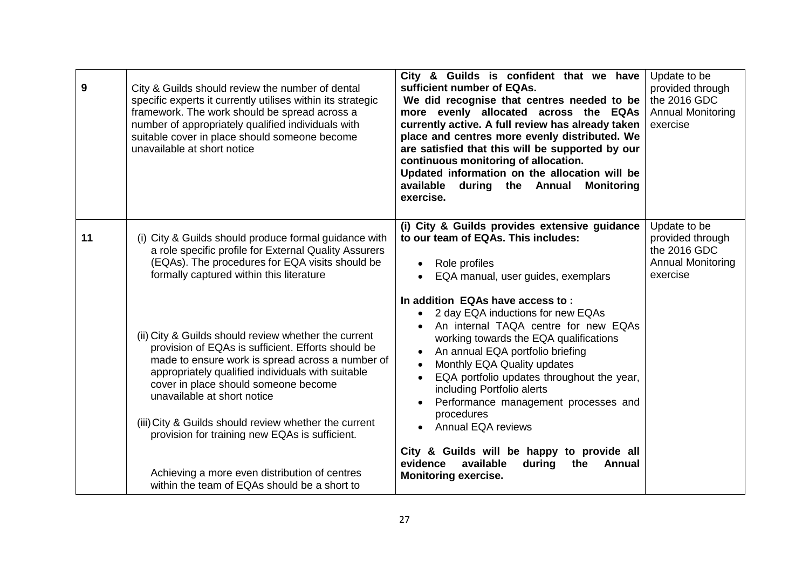| 9  | City & Guilds should review the number of dental<br>specific experts it currently utilises within its strategic<br>framework. The work should be spread across a<br>number of appropriately qualified individuals with<br>suitable cover in place should someone become<br>unavailable at short notice                                                                                                                                                                                                 | City & Guilds is confident that we have<br>sufficient number of EQAs.<br>We did recognise that centres needed to be<br>more evenly allocated across the EQAs<br>currently active. A full review has already taken<br>place and centres more evenly distributed. We<br>are satisfied that this will be supported by our<br>continuous monitoring of allocation.<br>Updated information on the allocation will be<br>available during the Annual<br><b>Monitoring</b><br>exercise.                                                                       | Update to be<br>provided through<br>the 2016 GDC<br><b>Annual Monitoring</b><br>exercise |
|----|--------------------------------------------------------------------------------------------------------------------------------------------------------------------------------------------------------------------------------------------------------------------------------------------------------------------------------------------------------------------------------------------------------------------------------------------------------------------------------------------------------|--------------------------------------------------------------------------------------------------------------------------------------------------------------------------------------------------------------------------------------------------------------------------------------------------------------------------------------------------------------------------------------------------------------------------------------------------------------------------------------------------------------------------------------------------------|------------------------------------------------------------------------------------------|
| 11 | (i) City & Guilds should produce formal guidance with<br>a role specific profile for External Quality Assurers<br>(EQAs). The procedures for EQA visits should be<br>formally captured within this literature                                                                                                                                                                                                                                                                                          | (i) City & Guilds provides extensive guidance<br>to our team of EQAs. This includes:<br>Role profiles<br>EQA manual, user guides, exemplars                                                                                                                                                                                                                                                                                                                                                                                                            | Update to be<br>provided through<br>the 2016 GDC<br><b>Annual Monitoring</b><br>exercise |
|    | (ii) City & Guilds should review whether the current<br>provision of EQAs is sufficient. Efforts should be<br>made to ensure work is spread across a number of<br>appropriately qualified individuals with suitable<br>cover in place should someone become<br>unavailable at short notice<br>(iii) City & Guilds should review whether the current<br>provision for training new EQAs is sufficient.<br>Achieving a more even distribution of centres<br>within the team of EQAs should be a short to | In addition EQAs have access to:<br>2 day EQA inductions for new EQAs<br>An internal TAQA centre for new EQAs<br>working towards the EQA qualifications<br>An annual EQA portfolio briefing<br>$\bullet$<br>Monthly EQA Quality updates<br>EQA portfolio updates throughout the year,<br>including Portfolio alerts<br>Performance management processes and<br>$\bullet$<br>procedures<br>• Annual EQA reviews<br>City & Guilds will be happy to provide all<br>evidence<br>available<br>during<br>the<br><b>Annual</b><br><b>Monitoring exercise.</b> |                                                                                          |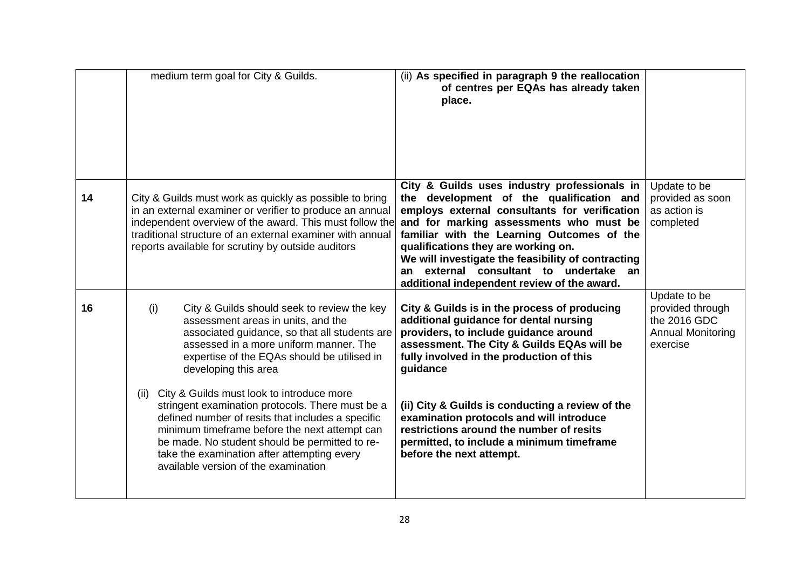|    | medium term goal for City & Guilds.                                                                                                                                                                                                                                                                                                               | (ii) As specified in paragraph 9 the reallocation<br>of centres per EQAs has already taken<br>place.                                                                                                                                                                                                                                                                                                                        |                                                                                          |
|----|---------------------------------------------------------------------------------------------------------------------------------------------------------------------------------------------------------------------------------------------------------------------------------------------------------------------------------------------------|-----------------------------------------------------------------------------------------------------------------------------------------------------------------------------------------------------------------------------------------------------------------------------------------------------------------------------------------------------------------------------------------------------------------------------|------------------------------------------------------------------------------------------|
| 14 | City & Guilds must work as quickly as possible to bring<br>in an external examiner or verifier to produce an annual<br>independent overview of the award. This must follow the<br>traditional structure of an external examiner with annual<br>reports available for scrutiny by outside auditors                                                 | City & Guilds uses industry professionals in<br>the development of the qualification and<br>employs external consultants for verification<br>and for marking assessments who must be<br>familiar with the Learning Outcomes of the<br>qualifications they are working on.<br>We will investigate the feasibility of contracting<br>external consultant to undertake an<br>an<br>additional independent review of the award. | Update to be<br>provided as soon<br>as action is<br>completed                            |
| 16 | (i)<br>City & Guilds should seek to review the key<br>assessment areas in units, and the<br>associated guidance, so that all students are<br>assessed in a more uniform manner. The<br>expertise of the EQAs should be utilised in<br>developing this area                                                                                        | City & Guilds is in the process of producing<br>additional guidance for dental nursing<br>providers, to include guidance around<br>assessment. The City & Guilds EQAs will be<br>fully involved in the production of this<br>guidance                                                                                                                                                                                       | Update to be<br>provided through<br>the 2016 GDC<br><b>Annual Monitoring</b><br>exercise |
|    | (ii) City & Guilds must look to introduce more<br>stringent examination protocols. There must be a<br>defined number of resits that includes a specific<br>minimum timeframe before the next attempt can<br>be made. No student should be permitted to re-<br>take the examination after attempting every<br>available version of the examination | (ii) City & Guilds is conducting a review of the<br>examination protocols and will introduce<br>restrictions around the number of resits<br>permitted, to include a minimum timeframe<br>before the next attempt.                                                                                                                                                                                                           |                                                                                          |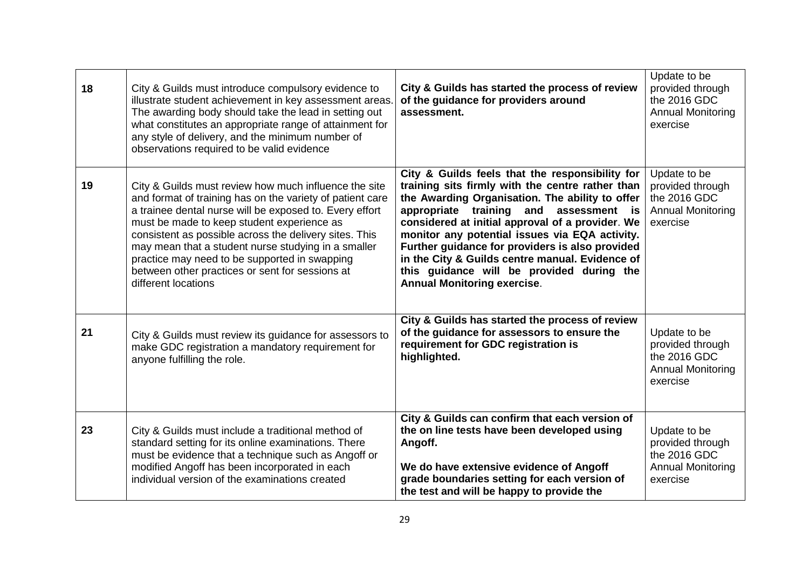| 18 | City & Guilds must introduce compulsory evidence to<br>illustrate student achievement in key assessment areas<br>The awarding body should take the lead in setting out<br>what constitutes an appropriate range of attainment for<br>any style of delivery, and the minimum number of<br>observations required to be valid evidence                                                                                                                                     | City & Guilds has started the process of review<br>of the guidance for providers around<br>assessment.                                                                                                                                                                                                                                                                                                                                                                                             | Update to be<br>provided through<br>the 2016 GDC<br><b>Annual Monitoring</b><br>exercise |
|----|-------------------------------------------------------------------------------------------------------------------------------------------------------------------------------------------------------------------------------------------------------------------------------------------------------------------------------------------------------------------------------------------------------------------------------------------------------------------------|----------------------------------------------------------------------------------------------------------------------------------------------------------------------------------------------------------------------------------------------------------------------------------------------------------------------------------------------------------------------------------------------------------------------------------------------------------------------------------------------------|------------------------------------------------------------------------------------------|
| 19 | City & Guilds must review how much influence the site<br>and format of training has on the variety of patient care<br>a trainee dental nurse will be exposed to. Every effort<br>must be made to keep student experience as<br>consistent as possible across the delivery sites. This<br>may mean that a student nurse studying in a smaller<br>practice may need to be supported in swapping<br>between other practices or sent for sessions at<br>different locations | City & Guilds feels that the responsibility for<br>training sits firmly with the centre rather than<br>the Awarding Organisation. The ability to offer<br>appropriate training and<br>assessment is<br>considered at initial approval of a provider. We<br>monitor any potential issues via EQA activity.<br>Further guidance for providers is also provided<br>in the City & Guilds centre manual. Evidence of<br>this guidance will be provided during the<br><b>Annual Monitoring exercise.</b> | Update to be<br>provided through<br>the 2016 GDC<br><b>Annual Monitoring</b><br>exercise |
| 21 | City & Guilds must review its guidance for assessors to<br>make GDC registration a mandatory requirement for<br>anyone fulfilling the role.                                                                                                                                                                                                                                                                                                                             | City & Guilds has started the process of review<br>of the guidance for assessors to ensure the<br>requirement for GDC registration is<br>highlighted.                                                                                                                                                                                                                                                                                                                                              | Update to be<br>provided through<br>the 2016 GDC<br><b>Annual Monitoring</b><br>exercise |
| 23 | City & Guilds must include a traditional method of<br>standard setting for its online examinations. There<br>must be evidence that a technique such as Angoff or<br>modified Angoff has been incorporated in each<br>individual version of the examinations created                                                                                                                                                                                                     | City & Guilds can confirm that each version of<br>the on line tests have been developed using<br>Angoff.<br>We do have extensive evidence of Angoff<br>grade boundaries setting for each version of<br>the test and will be happy to provide the                                                                                                                                                                                                                                                   | Update to be<br>provided through<br>the 2016 GDC<br><b>Annual Monitoring</b><br>exercise |